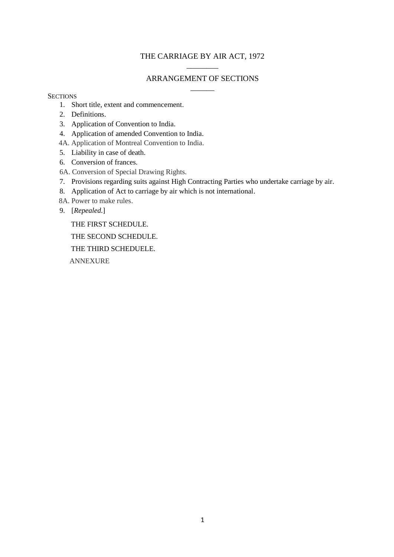# THE CARRIAGE BY AIR ACT, 1972 \_\_\_\_\_\_\_\_

# ARRANGEMENT OF SECTIONS  $\overline{\phantom{a}}$

### **SECTIONS**

- 1. Short title, extent and commencement.
- 2. Definitions.
- 3. Application of Convention to India.
- 4. Application of amended Convention to India.
- 4A. Application of Montreal Convention to India.
- 5. Liability in case of death.
- 6. Conversion of frances.
- 6A. Conversion of Special Drawing Rights.
- 7. Provisions regarding suits against High Contracting Parties who undertake carriage by air.
- 8. Application of Act to carriage by air which is not international.
- 8A. Power to make rules.
- 9. [*Repealed*.]

THE FIRST SCHEDULE.

THE SECOND SCHEDULE.

THE THIRD SCHEDUELE.

**ANNEXURE**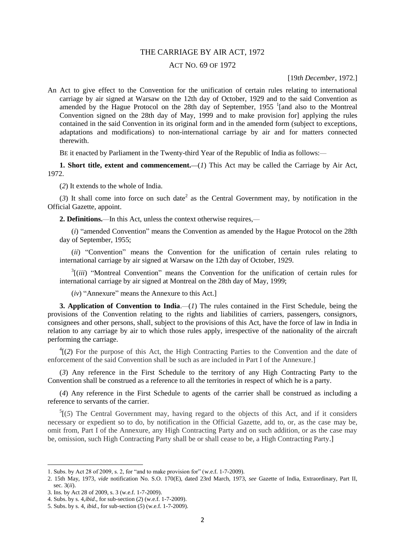# THE CARRIAGE BY AIR ACT, 1972

# ACT NO. 69 OF 1972

#### [19*th December*, 1972.]

An Act to give effect to the Convention for the unification of certain rules relating to international carriage by air signed at Warsaw on the 12th day of October, 1929 and to the said Convention as amended by the Hague Protocol on the 28th day of September,  $1955$ <sup>1</sup>[and also to the Montreal Convention signed on the 28th day of May, 1999 and to make provision for] applying the rules contained in the said Convention in its original form and in the amended form (subject to exceptions, adaptations and modifications) to non-international carriage by air and for matters connected therewith.

BE it enacted by Parliament in the Twenty-third Year of the Republic of India as follows:—

**1. Short title, extent and commencement.** (*1*) This Act may be called the Carriage by Air Act, 1972.

(*2*) It extends to the whole of India.

 $(3)$  It shall come into force on such date<sup>2</sup> as the Central Government may, by notification in the Official Gazette, appoint.

**2. Definitions.**—In this Act, unless the context otherwise requires,—

(*i*) "amended Convention" means the Convention as amended by the Hague Protocol on the 28th day of September, 1955;

(*ii*) "Convention" means the Convention for the unification of certain rules relating to international carriage by air signed at Warsaw on the 12th day of October, 1929.

<sup>3</sup>[*(iii*) "Montreal Convention" means the Convention for the unification of certain rules for international carriage by air signed at Montreal on the 28th day of May, 1999;

(*iv*) "Annexure" means the Annexure to this Act.]

**3. Application of Convention to India**.—(*1*) The rules contained in the First Schedule, being the provisions of the Convention relating to the rights and liabilities of carriers, passengers, consignors, consignees and other persons, shall, subject to the provisions of this Act, have the force of law in India in relation to any carriage by air to which those rules apply, irrespective of the nationality of the aircraft performing the carriage.

<sup>4</sup>[(2) For the purpose of this Act, the High Contracting Parties to the Convention and the date of enforcement of the said Convention shall be such as are included in Part I of the Annexure.]

(*3*) Any reference in the First Schedule to the territory of any High Contracting Party to the Convention shall be construed as a reference to all the territories in respect of which he is a party.

(*4*) Any reference in the First Schedule to agents of the carrier shall be construed as including a reference to servants of the carrier.

 $<sup>5</sup>$ [(5) The Central Government may, having regard to the objects of this Act, and if it considers</sup> necessary or expedient so to do, by notification in the Official Gazette, add to, or, as the case may be, omit from, Part I of the Annexure, any High Contracting Party and on such addition, or as the case may be, omission, such High Contracting Party shall be or shall cease to be, a High Contracting Party.]

**.** 

<sup>1.</sup> Subs. by Act 28 of 2009, s. 2, for "and to make provision for" (w.e.f. 1-7-2009).

<sup>2. 15</sup>th May, 1973, *vide* notification No. S.O. 170(E), dated 23rd March, 1973, *see* Gazette of India, Extraordinary, Part II, sec. 3(*ii*).

<sup>3.</sup> Ins. by Act 28 of 2009, s. 3 (w.e.f. 1-7-2009).

<sup>4.</sup> Subs. by s. 4,*ibid*., for sub-section (*2*) (w.e.f. 1-7-2009).

<sup>5.</sup> Subs. by s. 4, *ibid*., for sub-section (*5*) (w.e.f. 1-7-2009).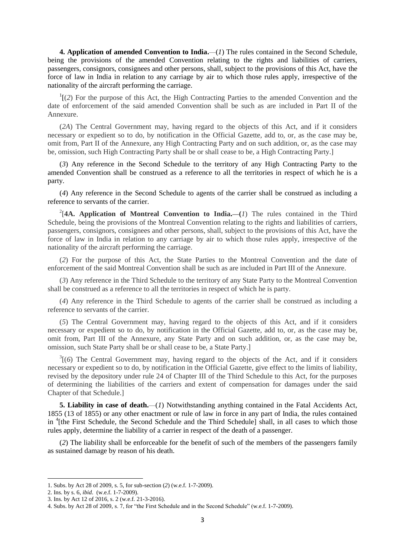**4. Application of amended Convention to India.**—(*1*) The rules contained in the Second Schedule, being the provisions of the amended Convention relating to the rights and liabilities of carriers, passengers, consignors, consignees and other persons, shall, subject to the provisions of this Act, have the force of law in India in relation to any carriage by air to which those rules apply, irrespective of the nationality of the aircraft performing the carriage.

<sup>1</sup>[(2) For the purpose of this Act, the High Contracting Parties to the amended Convention and the date of enforcement of the said amended Convention shall be such as are included in Part II of the Annexure.

(*2A*) The Central Government may, having regard to the objects of this Act, and if it considers necessary or expedient so to do, by notification in the Official Gazette, add to, or, as the case may be, omit from, Part II of the Annexure, any High Contracting Party and on such addition, or, as the case may be, omission, such High Contracting Party shall be or shall cease to be, a High Contracting Party.]

(*3*) Any reference in the Second Schedule to the territory of any High Contracting Party to the amended Convention shall be construed as a reference to all the territories in respect of which he is a party.

(*4*) Any reference in the Second Schedule to agents of the carrier shall be construed as including a reference to servants of the carrier.

2 [**4A. Application of Montreal Convention to India.—(***1*) The rules contained in the Third Schedule, being the provisions of the Montreal Convention relating to the rights and liabilities of carriers, passengers, consignors, consignees and other persons, shall, subject to the provisions of this Act, have the force of law in India in relation to any carriage by air to which those rules apply, irrespective of the nationality of the aircraft performing the carriage.

(*2*) For the purpose of this Act, the State Parties to the Montreal Convention and the date of enforcement of the said Montreal Convention shall be such as are included in Part III of the Annexure.

(*3*) Any reference in the Third Schedule to the territory of any State Party to the Montreal Convention shall be construed as a reference to all the territories in respect of which he is party.

(*4*) Any reference in the Third Schedule to agents of the carrier shall be construed as including a reference to servants of the carrier.

(*5*) The Central Government may, having regard to the objects of this Act, and if it considers necessary or expedient so to do, by notification in the Official Gazette, add to, or, as the case may be, omit from, Part III of the Annexure, any State Party and on such addition, or, as the case may be, omission, such State Party shall be or shall cease to be, a State Party.]

 $3(6)$  The Central Government may, having regard to the objects of the Act, and if it considers necessary or expedient so to do, by notification in the Official Gazette, give effect to the limits of liability, revised by the depository under rule 24 of Chapter III of the Third Schedule to this Act, for the purposes of determining the liabilities of the carriers and extent of compensation for damages under the said Chapter of that Schedule.]

**5. Liability in case of death.**—(*1*) Notwithstanding anything contained in the Fatal Accidents Act, 1855 (13 of 1855) or any other enactment or rule of law in force in any part of India, the rules contained in <sup>4</sup> [the First Schedule, the Second Schedule and the Third Schedule] shall, in all cases to which those rules apply, determine the liability of a carrier in respect of the death of a passenger.

(*2*) The liability shall be enforceable for the benefit of such of the members of the passengers family as sustained damage by reason of his death.

**.** 

<sup>1.</sup> Subs. by Act 28 of 2009, s. 5, for sub-section (*2*) (w.e.f. 1-7-2009).

<sup>2.</sup> Ins. by s. 6, *ibid*. (w.e.f. 1-7-2009).

<sup>3.</sup> Ins. by Act 12 of 2016, s. 2 (w.e.f. 21-3-2016).

<sup>4.</sup> Subs. by Act 28 of 2009, s. 7, for "the First Schedule and in the Second Schedule" (w.e.f. 1-7-2009).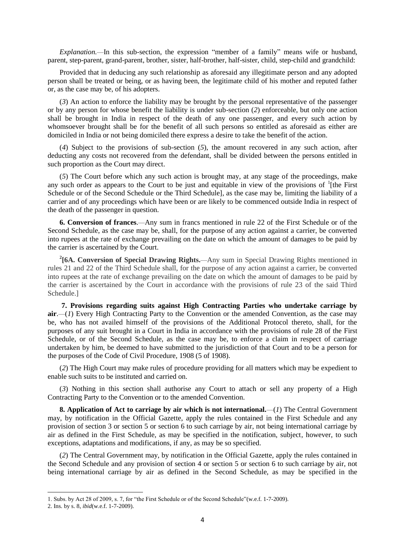*Explanation.*—In this sub-section, the expression "member of a family" means wife or husband, parent, step-parent, grand-parent, brother, sister, half-brother, half-sister, child, step-child and grandchild:

Provided that in deducing any such relationship as aforesaid any illegitimate person and any adopted person shall be treated or being, or as having been, the legitimate child of his mother and reputed father or, as the case may be, of his adopters.

(*3*) An action to enforce the liability may be brought by the personal representative of the passenger or by any person for whose benefit the liability is under sub-section (*2*) enforceable, but only one action shall be brought in India in respect of the death of any one passenger, and every such action by whomsoever brought shall be for the benefit of all such persons so entitled as aforesaid as either are domiciled in India or not being domiciled there express a desire to take the benefit of the action.

(*4*) Subject to the provisions of sub-section (*5*), the amount recovered in any such action, after deducting any costs not recovered from the defendant, shall be divided between the persons entitled in such proportion as the Court may direct.

(*5*) The Court before which any such action is brought may, at any stage of the proceedings, make any such order as appears to the Court to be just and equitable in view of the provisions of  $\frac{1}{1}$ [the First Schedule or of the Second Schedule or the Third Schedule], as the case may be, limiting the liability of a carrier and of any proceedings which have been or are likely to be commenced outside India in respect of the death of the passenger in question.

**6. Conversion of frances**.—Any sum in francs mentioned in rule 22 of the First Schedule or of the Second Schedule, as the case may be, shall, for the purpose of any action against a carrier, be converted into rupees at the rate of exchange prevailing on the date on which the amount of damages to be paid by the carrier is ascertained by the Court.

**2 [6A. Conversion of Special Drawing Rights.**—Any sum in Special Drawing Rights mentioned in rules 21 and 22 of the Third Schedule shall, for the purpose of any action against a carrier, be converted into rupees at the rate of exchange prevailing on the date on which the amount of damages to be paid by the carrier is ascertained by the Court in accordance with the provisions of rule 23 of the said Third Schedule.]

**7. Provisions regarding suits against High Contracting Parties who undertake carriage by air**.—(*1*) Every High Contracting Party to the Convention or the amended Convention, as the case may be, who has not availed himself of the provisions of the Additional Protocol thereto, shall, for the purposes of any suit brought in a Court in India in accordance with the provisions of rule 28 of the First Schedule, or of the Second Schedule, as the case may be, to enforce a claim in respect of carriage undertaken by him, be deemed to have submitted to the jurisdiction of that Court and to be a person for the purposes of the Code of Civil Procedure, 1908 (5 of 1908).

(*2*) The High Court may make rules of procedure providing for all matters which may be expedient to enable such suits to be instituted and carried on.

(*3*) Nothing in this section shall authorise any Court to attach or sell any property of a High Contracting Party to the Convention or to the amended Convention.

**8. Application of Act to carriage by air which is not international.**—(*1*) The Central Government may, by notification in the Official Gazette, apply the rules contained in the First Schedule and any provision of section 3 or section 5 or section 6 to such carriage by air, not being international carriage by air as defined in the First Schedule, as may be specified in the notification, subject, however, to such exceptions, adaptations and modifications, if any, as may be so specified.

(*2*) The Central Government may, by notification in the Official Gazette, apply the rules contained in the Second Schedule and any provision of section 4 or section 5 or section 6 to such carriage by air, not being international carriage by air as defined in the Second Schedule, as may be specified in the

1

<sup>1.</sup> Subs. by Act 28 of 2009, s. 7, for "the First Schedule or of the Second Schedule"(w.e.f. 1-7-2009).

<sup>2.</sup> Ins. by s. 8, *ibid*(w.e.f. 1-7-2009).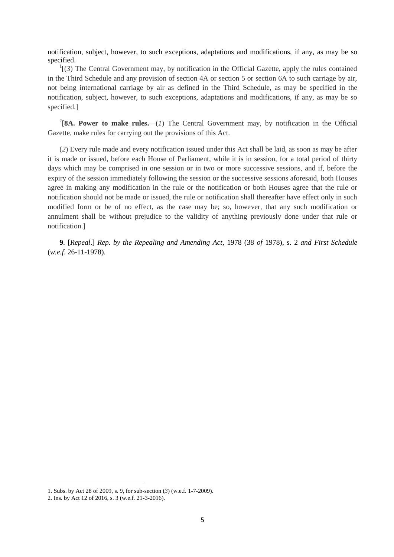notification, subject, however, to such exceptions, adaptations and modifications, if any, as may be so specified.

 $I(\mathcal{A})$  The Central Government may, by notification in the Official Gazette, apply the rules contained in the Third Schedule and any provision of section 4A or section 5 or section 6A to such carriage by air, not being international carriage by air as defined in the Third Schedule, as may be specified in the notification, subject, however, to such exceptions, adaptations and modifications, if any, as may be so specified.]

<sup>2</sup>[8A. Power to make rules.—(*1*) The Central Government may, by notification in the Official Gazette, make rules for carrying out the provisions of this Act.

(*2*) Every rule made and every notification issued under this Act shall be laid, as soon as may be after it is made or issued, before each House of Parliament, while it is in session, for a total period of thirty days which may be comprised in one session or in two or more successive sessions, and if, before the expiry of the session immediately following the session or the successive sessions aforesaid, both Houses agree in making any modification in the rule or the notification or both Houses agree that the rule or notification should not be made or issued, the rule or notification shall thereafter have effect only in such modified form or be of no effect, as the case may be; so, however, that any such modification or annulment shall be without prejudice to the validity of anything previously done under that rule or notification.]

**9**. [*Repeal*.] *Rep. by the Repealing and Amending Act*, 1978 (38 *of* 1978), *s*. 2 *and First Schedule* (*w.e.f*. 26-11-1978).

**.** 

<sup>1.</sup> Subs. by Act 28 of 2009, s. 9, for sub-section (*3*) (w.e.f. 1-7-2009).

<sup>2.</sup> Ins. by Act 12 of 2016, s. 3 (w.e.f. 21-3-2016).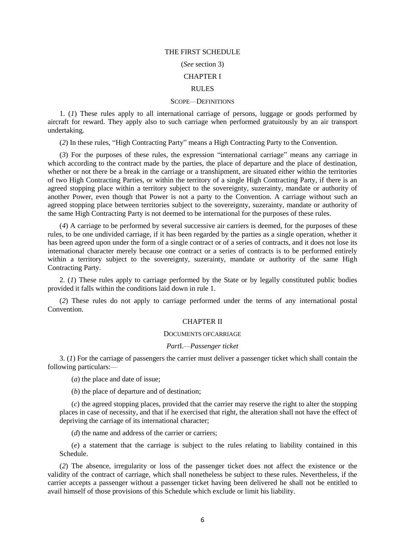#### THE FIRST SCHEDULE

# (*See* section 3)

# CHAPTER I

#### RULES

#### SCOPE—DEFINITIONS

1. (*1*) These rules apply to all international carriage of persons, luggage or goods performed by aircraft for reward. They apply also to such carriage when performed gratuitously by an air transport undertaking.

(*2*) In these rules, "High Contracting Party" means a High Contracting Party to the Convention.

(*3*) For the purposes of these rules, the expression "international carriage" means any carriage in which according to the contract made by the parties, the place of departure and the place of destination, whether or not there be a break in the carriage or a transhipment, are situated either within the territories of two High Contracting Parties, or within the territory of a single High Contracting Party, if there is an agreed stopping place within a territory subject to the sovereignty, suzerainty, mandate or authority of another Power, even though that Power is not a party to the Convention. A carriage without such an agreed stopping place between territories subject to the sovereignty, suzerainty, mandate or authority of the same High Contracting Party is not deemed to be international for the purposes of these rules.

(*4*) A carriage to be performed by several successive air carriers is deemed, for the purposes of these rules, to be one undivided carriage, if it has been regarded by the parties as a single operation, whether it has been agreed upon under the form of a single contract or of a series of contracts, and it does not lose its international character merely because one contract or a series of contracts is to be performed entirely within a territory subject to the sovereignty, suzerainty, mandate or authority of the same High Contracting Party.

2. (*1*) These rules apply to carriage performed by the State or by legally constituted public bodies provided it falls within the conditions laid down in rule 1.

(*2*) These rules do not apply to carriage performed under the terms of any international postal **Convention** 

## CHAPTER II

#### DOCUMENTS OFCARRIAGE

### *Part*I.—*Passenger ticket*

3. (*1*) For the carriage of passengers the carrier must deliver a passenger ticket which shall contain the following particulars:—

(*a*) the place and date of issue;

(*b*) the place of departure and of destination;

(*c*) the agreed stopping places, provided that the carrier may reserve the right to alter the stopping places in case of necessity, and that if he exercised that right, the alteration shall not have the effect of depriving the carriage of its international character;

(*d*) the name and address of the carrier or carriers;

(*e*) a statement that the carriage is subject to the rules relating to liability contained in this Schedule.

(*2*) The absence, irregularity or loss of the passenger ticket does not affect the existence or the validity of the contract of carriage, which shall nonetheless be subject to these rules. Nevertheless, if the carrier accepts a passenger without a passenger ticket having been delivered he shall not be entitled to avail himself of those provisions of this Schedule which exclude or limit his liability.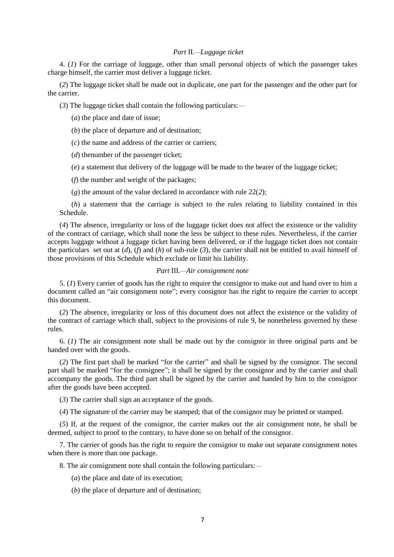### *Part* II*.—Luggage ticket*

4. (*1*) For the carriage of luggage, other than small personal objects of which the passenger takes charge himself, the carrier must deliver a luggage ticket.

(*2*) The luggage ticket shall be made out in duplicate, one part for the passenger and the other part for the carrier.

(*3*) The luggage ticket shall contain the following particulars:—

(*a*) the place and date of issue;

- (*b*) the place of departure and of destination;
- (*c*) the name and address of the carrier or carriers;

(*d*) thenumber of the passenger ticket;

(*e*) a statement that delivery of the luggage will be made to the bearer of the luggage ticket;

(*f*) the number and weight of the packages;

(*g*) the amount of the value declared in accordance with rule 22(*2*);

(*h*) a statement that the carriage is subject to the rules relating to liability contained in this Schedule.

(*4*) The absence, irregularity or loss of the luggage ticket does not affect the existence or the validity of the contract of carriage, which shall none the less be subject to these rules. Nevertheless, if the carrier accepts luggage without a luggage ticket having been delivered, or if the luggage ticket does not contain the particulars set out at (*d*), (*f*) and (*h*) of sub-rule (*3*), the carrier shall not be entitled to avail himself of those provisions of this Schedule which exclude or limit his liability.

#### *Part* III*.—Air consignment note*

5. (*1*) Every carrier of goods has the right to require the consignor to make out and hand over to him a document called an "air consignment note"; every consignor has the right to require the carrier to accept this document.

(*2*) The absence, irregularity or loss of this document does not affect the existence or the validity of the contract of carriage which shall, subject to the provisions of rule 9, be nonetheless governed by these rules.

6. (*1*) The air consignment note shall be made out by the consignor in three original parts and be handed over with the goods.

(*2*) The first part shall be marked "for the carrier" and shall be signed by the consignor. The second part shall be marked "for the consignee"; it shall be signed by the consignor and by the carrier and shall accompany the goods. The third part shall be signed by the carrier and handed by him to the consignor after the goods have been accepted.

(*3*) The carrier shall sign an acceptance of the goods.

(*4*) The signature of the carrier may be stamped; that of the consignor may be printed or stamped.

(*5*) If, at the request of the consignor, the carrier makes out the air consignment note, he shall be deemed, subject to proof to the contrary, to have done so on behalf of the consignor.

7. The carrier of goods has the right to require the consignor to make out separate consignment notes when there is more than one package.

8. The air consignment note shall contain the following particulars:—

(*a*) the place and date of its execution;

(*b*) the place of departure and of destination;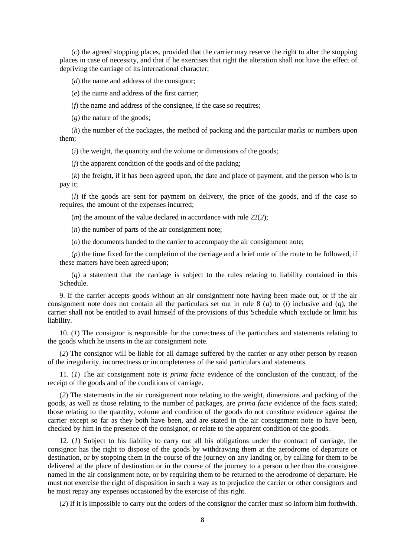(*c*) the agreed stopping places, provided that the carrier may reserve the right to alter the stopping places in case of necessity, and that if he exercises that right the alteration shall not have the effect of depriving the carriage of its international character;

(*d*) the name and address of the consignor;

(*e*) the name and address of the first carrier;

(*f*) the name and address of the consignee, if the case so requires;

(*g*) the nature of the goods;

(*h*) the number of the packages, the method of packing and the particular marks or numbers upon them;

(*i*) the weight, the quantity and the volume or dimensions of the goods;

(*j*) the apparent condition of the goods and of the packing;

(*k*) the freight, if it has been agreed upon, the date and place of payment, and the person who is to pay it;

(*l*) if the goods are sent for payment on delivery, the price of the goods, and if the case so requires, the amount of the expenses incurred;

(*m*) the amount of the value declared in accordance with rule 22(*2*);

(*n*) the number of parts of the air consignment note;

(*o*) the documents handed to the carrier to accompany the air consignment note;

(*p*) the time fixed for the completion of the carriage and a brief note of the route to be followed, if these matters have been agreed upon;

(*q*) a statement that the carriage is subject to the rules relating to liability contained in this Schedule.

9. If the carrier accepts goods without an air consignment note having been made out, or if the air consignment note does not contain all the particulars set out in rule 8 (*a*) to (*i*) inclusive and (*q*), the carrier shall not be entitled to avail himself of the provisions of this Schedule which exclude or limit his liability.

10. (*1*) The consignor is responsible for the correctness of the particulars and statements relating to the goods which he inserts in the air consignment note.

(*2*) The consignor will be liable for all damage suffered by the carrier or any other person by reason of the irregularity, incorrectness or incompleteness of the said particulars and statements.

11. (*1*) The air consignment note is *prima facie* evidence of the conclusion of the contract, of the receipt of the goods and of the conditions of carriage.

(*2*) The statements in the air consignment note relating to the weight, dimensions and packing of the goods, as well as those relating to the number of packages, are *prima facie* evidence of the facts stated; those relating to the quantity, volume and condition of the goods do not constitute evidence against the carrier except so far as they both have been, and are stated in the air consignment note to have been, checked by him in the presence of the consignor, or relate to the apparent condition of the goods.

12. (*1*) Subject to his liability to carry out all his obligations under the contract of carriage, the consignor has the right to dispose of the goods by withdrawing them at the aerodrome of departure or destination, or by stopping them in the course of the journey on any landing or, by calling for them to be delivered at the place of destination or in the course of the journey to a person other than the consignee named in the air consignment note, or by requiring them to be returned to the aerodrome of departure. He must not exercise the right of disposition in such a way as to prejudice the carrier or other consignors and he must repay any expenses occasioned by the exercise of this right.

(*2*) If it is impossible to carry out the orders of the consignor the carrier must so inform him forthwith.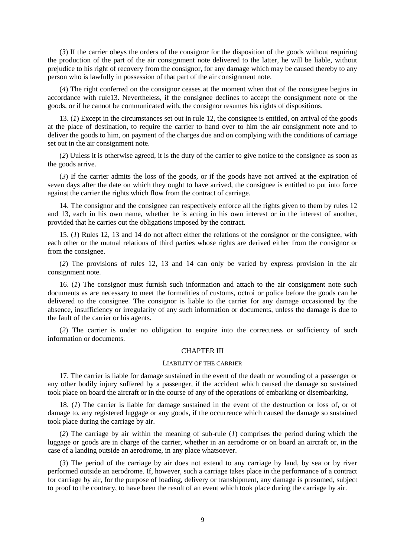(*3*) If the carrier obeys the orders of the consignor for the disposition of the goods without requiring the production of the part of the air consignment note delivered to the latter, he will be liable, without prejudice to his right of recovery from the consignor, for any damage which may be caused thereby to any person who is lawfully in possession of that part of the air consignment note.

(*4*) The right conferred on the consignor ceases at the moment when that of the consignee begins in accordance with rule13. Nevertheless, if the consignee declines to accept the consignment note or the goods, or if he cannot be communicated with, the consignor resumes his rights of dispositions.

13. (*1*) Except in the circumstances set out in rule 12, the consignee is entitled, on arrival of the goods at the place of destination, to require the carrier to hand over to him the air consignment note and to deliver the goods to him, on payment of the charges due and on complying with the conditions of carriage set out in the air consignment note.

(*2*) Uuless it is otherwise agreed, it is the duty of the carrier to give notice to the consignee as soon as the goods arrive.

(*3*) If the carrier admits the loss of the goods, or if the goods have not arrived at the expiration of seven days after the date on which they ought to have arrived, the consignee is entitled to put into force against the carrier the rights which flow from the contract of carriage.

14. The consignor and the consignee can respectively enforce all the rights given to them by rules 12 and 13, each in his own name, whether he is acting in his own interest or in the interest of another, provided that he carries out the obligations imposed by the contract.

15. (*1*) Rules 12, 13 and 14 do not affect either the relations of the consignor or the consignee, with each other or the mutual relations of third parties whose rights are derived either from the consignor or from the consignee.

(*2*) The provisions of rules 12, 13 and 14 can only be varied by express provision in the air consignment note.

16. (*1*) The consignor must furnish such information and attach to the air consignment note such documents as are necessary to meet the formalities of customs, octroi or police before the goods can be delivered to the consignee. The consignor is liable to the carrier for any damage occasioned by the absence, insufficiency or irregularity of any such information or documents, unless the damage is due to the fault of the carrier or his agents.

(*2*) The carrier is under no obligation to enquire into the correctness or sufficiency of such information or documents.

# CHAPTER III

#### LIABILITY OF THE CARRIER

17. The carrier is liable for damage sustained in the event of the death or wounding of a passenger or any other bodily injury suffered by a passenger, if the accident which caused the damage so sustained took place on board the aircraft or in the course of any of the operations of embarking or disembarking.

18. (*1*) The carrier is liable for damage sustained in the event of the destruction or loss of, or of damage to, any registered luggage or any goods, if the occurrence which caused the damage so sustained took place during the carriage by air.

(*2*) The carriage by air within the meaning of sub-rule (*1*) comprises the period during which the luggage or goods are in charge of the carrier, whether in an aerodrome or on board an aircraft or, in the case of a landing outside an aerodrome, in any place whatsoever.

(*3*) The period of the carriage by air does not extend to any carriage by land, by sea or by river performed outside an aerodrome. If, however, such a carriage takes place in the performance of a contract for carriage by air, for the purpose of loading, delivery or transhipment, any damage is presumed, subject to proof to the contrary, to have been the result of an event which took place during the carriage by air.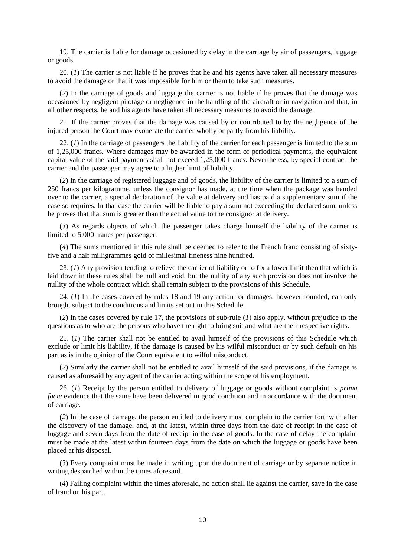19. The carrier is liable for damage occasioned by delay in the carriage by air of passengers, luggage or goods.

20. (*1*) The carrier is not liable if he proves that he and his agents have taken all necessary measures to avoid the damage or that it was impossible for him or them to take such measures.

(*2*) In the carriage of goods and luggage the carrier is not liable if he proves that the damage was occasioned by negligent pilotage or negligence in the handling of the aircraft or in navigation and that, in all other respects, he and his agents have taken all necessary measures to avoid the damage.

21. If the carrier proves that the damage was caused by or contributed to by the negligence of the injured person the Court may exonerate the carrier wholly or partly from his liability.

22. (*1*) In the carriage of passengers the liability of the carrier for each passenger is limited to the sum of 1,25,000 francs. Where damages may be awarded in the form of periodical payments, the equivalent capital value of the said payments shall not exceed 1,25,000 francs. Nevertheless, by special contract the carrier and the passenger may agree to a higher limit of liability.

(*2*) In the carriage of registered luggage and of goods, the liability of the carrier is limited to a sum of 250 francs per kilogramme, unless the consignor has made, at the time when the package was handed over to the carrier, a special declaration of the value at delivery and has paid a supplementary sum if the case so requires. In that case the carrier will be liable to pay a sum not exceeding the declared sum, unless he proves that that sum is greater than the actual value to the consignor at delivery.

(*3*) As regards objects of which the passenger takes charge himself the liability of the carrier is limited to 5,000 francs per passenger.

(*4*) The sums mentioned in this rule shall be deemed to refer to the French franc consisting of sixtyfive and a half milligrammes gold of millesimal fineness nine hundred.

23. (*1*) Any provision tending to relieve the carrier of liability or to fix a lower limit then that which is laid down in these rules shall be null and void, but the nullity of any such provision does not involve the nullity of the whole contract which shall remain subject to the provisions of this Schedule.

24. (*1*) In the cases covered by rules 18 and 19 any action for damages, however founded, can only brought subject to the conditions and limits set out in this Schedule.

(*2*) In the cases covered by rule 17, the provisions of sub-rule (*1*) also apply, without prejudice to the questions as to who are the persons who have the right to bring suit and what are their respective rights.

25. (*1*) The carrier shall not be entitled to avail himself of the provisions of this Schedule which exclude or limit his liability, if the damage is caused by his wilful misconduct or by such default on his part as is in the opinion of the Court equivalent to wilful misconduct.

(*2*) Similarly the carrier shall not be entitled to avail himself of the said provisions, if the damage is caused as aforesaid by any agent of the carrier acting within the scope of his employment.

26. (*1*) Receipt by the person entitled to delivery of luggage or goods without complaint is *prima facie* evidence that the same have been delivered in good condition and in accordance with the document of carriage.

(*2*) In the case of damage, the person entitled to delivery must complain to the carrier forthwith after the discovery of the damage, and, at the latest, within three days from the date of receipt in the case of luggage and seven days from the date of receipt in the case of goods. In the case of delay the complaint must be made at the latest within fourteen days from the date on which the luggage or goods have been placed at his disposal.

(*3*) Every complaint must be made in writing upon the document of carriage or by separate notice in writing despatched within the times aforesaid.

(*4*) Failing complaint within the times aforesaid, no action shall lie against the carrier, save in the case of fraud on his part.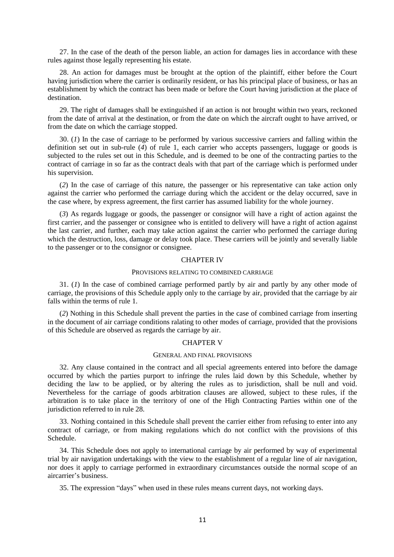27. In the case of the death of the person liable, an action for damages lies in accordance with these rules against those legally representing his estate.

28. An action for damages must be brought at the option of the plaintiff, either before the Court having jurisdiction where the carrier is ordinarily resident, or has his principal place of business, or has an establishment by which the contract has been made or before the Court having jurisdiction at the place of destination.

29. The right of damages shall be extinguished if an action is not brought within two years, reckoned from the date of arrival at the destination, or from the date on which the aircraft ought to have arrived, or from the date on which the carriage stopped.

30. (*1*) In the case of carriage to be performed by various successive carriers and falling within the definition set out in sub-rule (*4*) of rule 1, each carrier who accepts passengers, luggage or goods is subjected to the rules set out in this Schedule, and is deemed to be one of the contracting parties to the contract of carriage in so far as the contract deals with that part of the carriage which is performed under his supervision.

(*2*) In the case of carriage of this nature, the passenger or his representative can take action only against the carrier who performed the carriage during which the accident or the delay occurred, save in the case where, by express agreement, the first carrier has assumed liability for the whole journey.

(*3*) As regards luggage or goods, the passenger or consignor will have a right of action against the first carrier, and the passenger or consignee who is entitled to delivery will have a right of action against the last carrier, and further, each may take action against the carrier who performed the carriage during which the destruction, loss, damage or delay took place. These carriers will be jointly and severally liable to the passenger or to the consignor or consignee.

### CHAPTER IV

### PROVISIONS RELATING TO COMBINED CARRIAGE

31. (*1*) In the case of combined carriage performed partly by air and partly by any other mode of carriage, the provisions of this Schedule apply only to the carriage by air, provided that the carriage by air falls within the terms of rule 1.

(*2*) Nothing in this Schedule shall prevent the parties in the case of combined carriage from inserting in the document of air carriage conditions ralating to other modes of carriage, provided that the provisions of this Schedule are observed as regards the carriage by air.

### CHAPTER V

#### GENERAL AND FINAL PROVISIONS

32. Any clause contained in the contract and all special agreements entered into before the damage occurred by which the parties purport to infringe the rules laid down by this Schedule, whether by deciding the law to be applied, or by altering the rules as to jurisdiction, shall be null and void. Nevertheless for the carriage of goods arbitration clauses are allowed, subject to these rules, if the arbitration is to take place in the territory of one of the High Contracting Parties within one of the jurisdiction referred to in rule 28.

33. Nothing contained in this Schedule shall prevent the carrier either from refusing to enter into any contract of carriage, or from making regulations which do not conflict with the provisions of this Schedule.

34. This Schedule does not apply to international carriage by air performed by way of experimental trial by air navigation undertakings with the view to the establishment of a regular line of air navigation, nor does it apply to carriage performed in extraordinary circumstances outside the normal scope of an aircarrier's business.

35. The expression "days" when used in these rules means current days, not working days.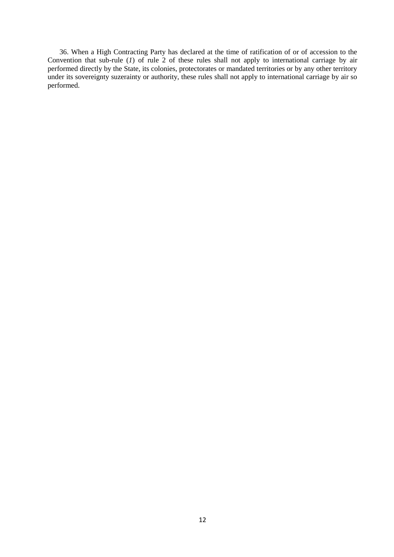36. When a High Contracting Party has declared at the time of ratification of or of accession to the Convention that sub-rule (*1*) of rule 2 of these rules shall not apply to international carriage by air performed directly by the State, its colonies, protectorates or mandated territories or by any other territory under its sovereignty suzerainty or authority, these rules shall not apply to international carriage by air so performed.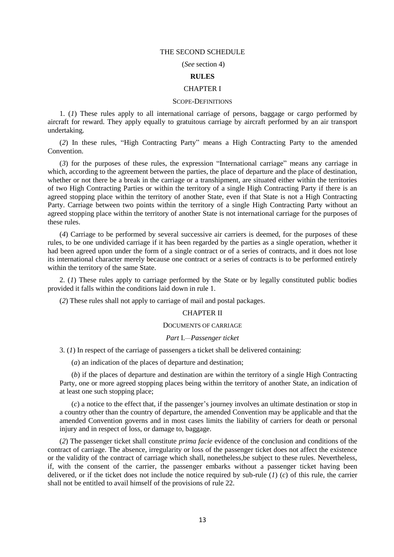#### THE SECOND SCHEDULE

### (*See* section 4)

# **RULES**

## CHAPTER I

#### SCOPE-DEFINITIONS

1. (*1*) These rules apply to all international carriage of persons, baggage or cargo performed by aircraft for reward. They apply equally to gratuitous carriage by aircraft performed by an air transport undertaking.

(*2*) In these rules, "High Contracting Party" means a High Contracting Party to the amended Convention.

(*3*) for the purposes of these rules, the expression "International carriage" means any carriage in which, according to the agreement between the parties, the place of departure and the place of destination, whether or not there be a break in the carriage or a transhipment, are situated either within the territories of two High Contracting Parties or within the territory of a single High Contracting Party if there is an agreed stopping place within the territory of another State, even if that State is not a High Contracting Party. Carriage between two points within the territory of a single High Contracting Party without an agreed stopping place within the territory of another State is not international carriage for the purposes of these rules.

(*4*) Carriage to be performed by several successive air carriers is deemed, for the purposes of these rules, to be one undivided carriage if it has been regarded by the parties as a single operation, whether it had been agreed upon under the form of a single contract or of a series of contracts, and it does not lose its international character merely because one contract or a series of contracts is to be performed entirely within the territory of the same State.

2. (*1*) These rules apply to carriage performed by the State or by legally constituted public bodies provided it falls within the conditions laid down in rule 1.

(*2*) These rules shall not apply to carriage of mail and postal packages.

#### CHAPTER II

### DOCUMENTS OF CARRIAGE

#### *Part* I.*—Passenger ticket*

3. (*1*) In respect of the carriage of passengers a ticket shall be delivered containing:

(*a*) an indication of the places of departure and destination;

(*b*) if the places of departure and destination are within the territory of a single High Contracting Party, one or more agreed stopping places being within the territory of another State, an indication of at least one such stopping place;

(*c*) a notice to the effect that, if the passenger's journey involves an ultimate destination or stop in a country other than the country of departure, the amended Convention may be applicable and that the amended Convention governs and in most cases limits the liability of carriers for death or personal injury and in respect of loss, or damage to, baggage.

(*2*) The passenger ticket shall constitute *prima facie* evidence of the conclusion and conditions of the contract of carriage. The absence, irregularity or loss of the passenger ticket does not affect the existence or the validity of the contract of carriage which shall, nonetheless,be subject to these rules. Nevertheless, if, with the consent of the carrier, the passenger embarks without a passenger ticket having been delivered, or if the ticket does not include the notice required by sub-rule (*1*) (*c*) of this rule, the carrier shall not be entitled to avail himself of the provisions of rule 22.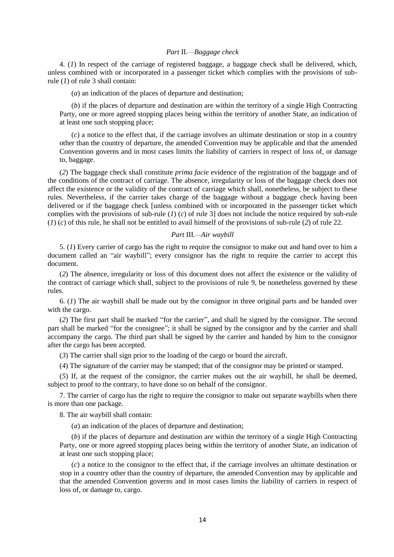#### *Part* II*.*—*Baggage check*

4. (*1*) In respect of the carriage of registered baggage, a baggage check shall be delivered, which, unless combined with or incorporated in a passenger ticket which complies with the provisions of subrule (*1*) of rule 3 shall contain:

(*a*) an indication of the places of departure and destination;

(*b*) if the places of departure and destination are within the territory of a single High Contracting Party, one or more agreed stopping places being within the territory of another State, an indication of at least one such stopping place;

(*c*) a notice to the effect that, if the carriage involves an ultimate destination or stop in a country other than the country of departure, the amended Convention may be applicable and that the amended Convention governs and in most cases limits the liability of carriers in respect of loss of, or damage to, baggage.

(*2*) The baggage check shall constitute *prima facie* evidence of the registration of the baggage and of the conditions of the contract of carriage. The absence, irregularity or loss of the baggage check does not affect the existence or the validity of the contract of carriage which shall, nonetheless, be subject to these rules. Nevertheless, if the carrier takes charge of the baggage without a baggage check having been delivered or if the baggage check [unless combined with or incorporated in the passenger ticket which complies with the provisions of sub-rule (*1*) (*c*) of rule 3] does not include the notice required by sub-rule (*1*) (*c*) of this rule, he shall not be entitled to avail himself of the provisions of sub-rule (*2*) of rule 22.

### *Part* III*.—Air waybill*

5. (*1*) Every carrier of cargo has the right to require the consignor to make out and hand over to him a document called an "air waybill"; every consignor has the right to require the carrier to accept this document.

(*2*) The absence, irregularity or loss of this document does not affect the existence or the validity of the contract of carriage which shall, subject to the provisions of rule 9, be nonetheless governed by these rules.

6. (*1*) The air waybill shall be made out by the consignor in three original parts and be handed over with the cargo.

(*2*) The first part shall be marked "for the carrier", and shall be signed by the consignor. The second part shall be marked "for the consignee"; it shall be signed by the consignor and by the carrier and shall accompany the cargo. The third part shall be signed by the carrier and handed by him to the consignor after the cargo has been accepted.

(*3*) The carrier shall sign prior to the loading of the cargo or board the aircraft.

(*4*) The signature of the carrier may be stamped; that of the consignor may be printed or stamped.

(*5*) If, at the request of the consignor, the carrier makes out the air waybill, he shall be deemed, subject to proof to the contrary, to have done so on behalf of the consignor.

7. The carrier of cargo has the right to require the consignor to make out separate waybills when there is more than one package.

8. The air waybill shall contain:

(*a*) an indication of the places of departure and destination;

(*b*) if the places of departure and destination are within the territory of a single High Contracting Party, one or more agreed stopping places being within the territory of another State, an indication of at least one such stopping place;

(*c*) a notice to the consignor to the effect that, if the carriage involves an ultimate destination or stop in a country other than the country of departure, the amended Convention may by applicable and that the amended Convention governs and in most cases limits the liability of carriers in respect of loss of, or damage to, cargo.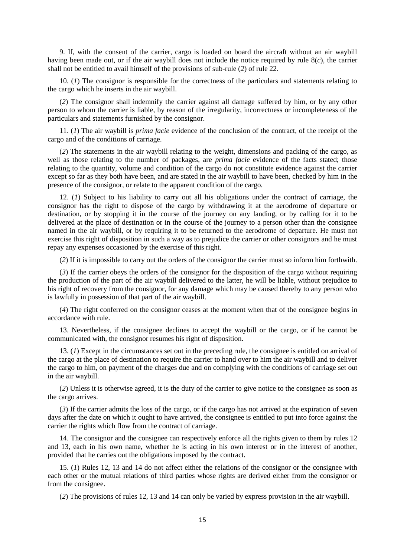9. If, with the consent of the carrier, cargo is loaded on board the aircraft without an air waybill having been made out, or if the air waybill does not include the notice required by rule 8(*c*), the carrier shall not be entitled to avail himself of the provisions of sub-rule (*2*) of rule 22.

10. (*1*) The consignor is responsible for the correctness of the particulars and statements relating to the cargo which he inserts in the air waybill.

(*2*) The consignor shall indemnify the carrier against all damage suffered by him, or by any other person to whom the carrier is liable, by reason of the irregularity, incorrectness or incompleteness of the particulars and statements furnished by the consignor.

11. (*1*) The air waybill is *prima facie* evidence of the conclusion of the contract, of the receipt of the cargo and of the conditions of carriage.

(*2*) The statements in the air waybill relating to the weight, dimensions and packing of the cargo, as well as those relating to the number of packages, are *prima facie* evidence of the facts stated; those relating to the quantity, volume and condition of the cargo do not constitute evidence against the carrier except so far as they both have been, and are stated in the air waybill to have been, checked by him in the presence of the consignor, or relate to the apparent condition of the cargo.

12. (*1*) Subject to his liability to carry out all his obligations under the contract of carriage, the consignor has the right to dispose of the cargo by withdrawing it at the aerodrome of departure or destination, or by stopping it in the course of the journey on any landing, or by calling for it to be delivered at the place of destination or in the course of the journey to a person other than the consignee named in the air waybill, or by requiring it to be returned to the aerodrome of departure. He must not exercise this right of disposition in such a way as to prejudice the carrier or other consignors and he must repay any expenses occasioned by the exercise of this right.

(*2*) If it is impossible to carry out the orders of the consignor the carrier must so inform him forthwith.

(*3*) If the carrier obeys the orders of the consignor for the disposition of the cargo without requiring the production of the part of the air waybill delivered to the latter, he will be liable, without prejudice to his right of recovery from the consignor, for any damage which may be caused thereby to any person who is lawfully in possession of that part of the air waybill.

(*4*) The right conferred on the consignor ceases at the moment when that of the consignee begins in accordance with rule.

13. Nevertheless, if the consignee declines to accept the waybill or the cargo, or if he cannot be communicated with, the consignor resumes his right of disposition.

13. (*1*) Except in the circumstances set out in the preceding rule, the consignee is entitled on arrival of the cargo at the place of destination to require the carrier to hand over to him the air waybill and to deliver the cargo to him, on payment of the charges due and on complying with the conditions of carriage set out in the air waybill.

(*2*) Unless it is otherwise agreed, it is the duty of the carrier to give notice to the consignee as soon as the cargo arrives.

(*3*) If the carrier admits the loss of the cargo, or if the cargo has not arrived at the expiration of seven days after the date on which it ought to have arrived, the consignee is entitled to put into force against the carrier the rights which flow from the contract of carriage.

14. The consignor and the consignee can respectively enforce all the rights given to them by rules 12 and 13, each in his own name, whether he is acting in his own interest or in the interest of another, provided that he carries out the obligations imposed by the contract.

15. (*1*) Rules 12, 13 and 14 do not affect either the relations of the consignor or the consignee with each other or the mutual relations of third parties whose rights are derived either from the consignor or from the consignee.

(*2*) The provisions of rules 12, 13 and 14 can only be varied by express provision in the air waybill.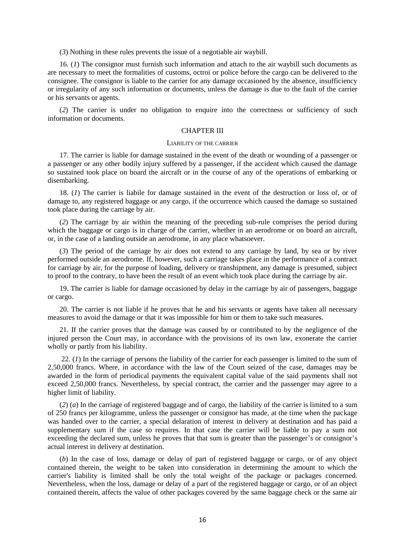(*3*) Nothing in these rules prevents the issue of a negotiable air waybill.

16. (*1*) The consignor must furnish such information and attach to the air waybill such documents as are necessary to meet the formalities of customs, octroi or police before the cargo can be delivered to the consignee. The consignor is liable to the carrier for any damage occasioned by the absence, insufficiency or irregularity of any such information or documents, unless the damage is due to the fault of the carrier or his servants or agents.

(*2*) The carrier is under no obligation to enquire into the correctness or sufficiency of such information or documents.

### CHAPTER III

#### LIABILITY OF THE CARRIER

17. The carrier is liable for damage sustained in the event of the death or wounding of a passenger or a passenger or any other bodily injury suffered by a passenger, if the accident which caused the damage so sustained took place on board the aircraft or in the course of any of the operations of embarking or disembarking.

18. (*1*) The carrier is liabile for damage sustained in the event of the destruction or loss of, or of damage to, any registered baggage or any cargo, if the occurrence which caused the damage so sustained took place during the carriage by air.

(*2*) The carriage by air within the meaning of the preceding sub-rule comprises the period during which the baggage or cargo is in charge of the carrier, whether in an aerodrome or on board an aircraft, or, in the case of a landing outside an aerodrome, in any place whatsoever.

(*3*) The period of the carriage by air does not extend to any carriage by land, by sea or by river performed outside an aerodrome. If, however, such a carriage takes place in the performance of a contract for carriage by air, for the purpose of loading, delivery or transhipment, any damage is presumed, subject to proof to the contrary, to have been the result of an event which took place during the carriage by air.

19. The carrier is liable for damage occasioned by delay in the carriage by air of passengers, baggage or cargo.

20. The carrier is not liable if he proves that he and his servants or agents have taken all necessary measures to avoid the damage or that it was impossible for him or them to take such measures.

21. If the carrier proves that the damage was caused by or contributed to by the negligence of the injured person the Court may, in accordance with the provisions of its own law, exonerate the carrier wholly or partly from his liability.

22. (*1*) In the carriage of persons the liability of the carrier for each passenger is limited to the sum of 2,50,000 francs. Where, in accordance with the law of the Court seized of the case, damages may be awarded in the form of periodical payments the equivalent capital value of the said payments shall not exceed 2,50,000 francs. Nevertheless, by special contract, the carrier and the passenger may agree to a higher limit of liability.

(*2*) (*a*) In the carriage of registered baggage and of cargo, the liability of the carrier is limited to a sum of 250 francs per kilogramme, unless the passenger or consignor has made, at the time when the package was handed over to the carrier, a special delaration of interest in delivery at destination and has paid a supplementary sum if the case so requires. In that case the carrier will be liable to pay a sum not exceeding the declared sum, unless he proves that that sum is greater than the passenger's or consignor's actual interest in delivery at destination.

(*b*) In the case of loss, damage or delay of part of registered baggage or cargo, or of any object contained therein, the weight to be taken into consideration in determining the amount to which the carrier's liability is limited shall be only the total weight of the package or packages concerned. Nevertheless, when the loss, damage or delay of a part of the registered baggage or cargo, or of an object contained therein, affects the value of other packages covered by the same baggage check or the same air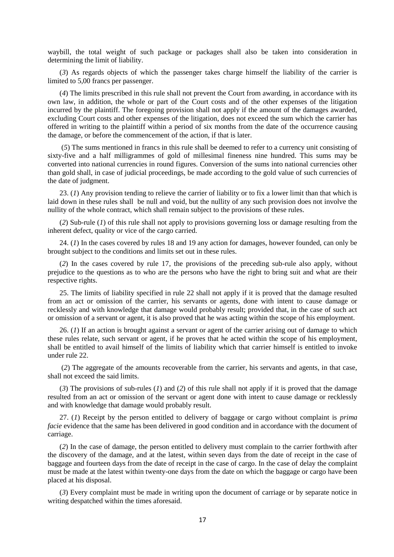waybill, the total weight of such package or packages shall also be taken into consideration in determining the limit of liability.

(*3*) As regards objects of which the passenger takes charge himself the liability of the carrier is limited to 5,00 francs per passenger.

(*4*) The limits prescribed in this rule shall not prevent the Court from awarding, in accordance with its own law, in addition, the whole or part of the Court costs and of the other expenses of the litigation incurred by the plaintiff. The foregoing provision shall not apply if the amount of the damages awarded, excluding Court costs and other expenses of the litigation, does not exceed the sum which the carrier has offered in writing to the plaintiff within a period of six months from the date of the occurrence causing the damage, or before the commencement of the action, if that is later.

(*5*) The sums mentioned in francs in this rule shall be deemed to refer to a currency unit consisting of sixty-five and a half milligrammes of gold of millesimal fineness nine hundred. This sums may be converted into national currencies in round figures. Conversion of the sums into national currencies other than gold shall, in case of judicial proceedings, be made according to the gold value of such currencies of the date of judgment.

23. (*1*) Any provision tending to relieve the carrier of liability or to fix a lower limit than that which is laid down in these rules shall be null and void, but the nullity of any such provision does not involve the nullity of the whole contract, which shall remain subject to the provisions of these rules.

(*2*) Sub-rule (*1*) of this rule shall not apply to provisions governing loss or damage resulting from the inherent defect, quality or vice of the cargo carried.

24. (*1*) In the cases covered by rules 18 and 19 any action for damages, however founded, can only be brought subject to the conditions and limits set out in these rules.

(*2*) In the cases covered by rule 17, the provisions of the preceding sub-rule also apply, without prejudice to the questions as to who are the persons who have the right to bring suit and what are their respective rights.

25. The limits of liability specified in rule 22 shall not apply if it is proved that the damage resulted from an act or omission of the carrier, his servants or agents, done with intent to cause damage or recklessly and with knowledge that damage would probably result; provided that, in the case of such act or omission of a servant or agent, it is also proved that he was acting within the scope of his employment.

26. (*1*) If an action is brought against a servant or agent of the carrier arising out of damage to which these rules relate, such servant or agent, if he proves that he acted within the scope of his employment, shall be entitled to avail himself of the limits of liability which that carrier himself is entitled to invoke under rule 22.

(*2*) The aggregate of the amounts recoverable from the carrier, his servants and agents, in that case, shall not exceed the said limits.

(*3*) The provisions of sub-rules (*1*) and (*2*) of this rule shall not apply if it is proved that the damage resulted from an act or omission of the servant or agent done with intent to cause damage or recklessly and with knowledge that damage would probably result.

27. (*1*) Receipt by the person entitled to delivery of baggage or cargo without complaint is *prima facie* evidence that the same has been delivered in good condition and in accordance with the document of carriage.

(*2*) In the case of damage, the person entitled to delivery must complain to the carrier forthwith after the discovery of the damage, and at the latest, within seven days from the date of receipt in the case of baggage and fourteen days from the date of receipt in the case of cargo. In the case of delay the complaint must be made at the latest within twenty-one days from the date on which the baggage or cargo have been placed at his disposal.

(*3*) Every complaint must be made in writing upon the document of carriage or by separate notice in writing despatched within the times aforesaid.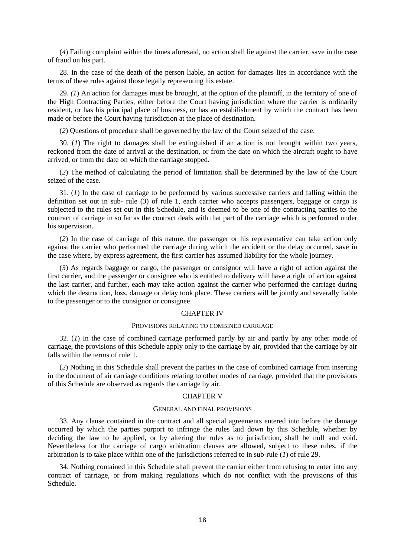(*4*) Failing complaint within the times aforesaid, no action shall lie against the carrier, save in the case of fraud on his part.

28. In the case of the death of the person liable, an action for damages lies in accordance with the terms of these rules against those legally representing his estate.

29. *(1*) An action for damages must be brought, at the option of the plaintiff, in the territory of one of the High Contracting Parties, either before the Court having jurisdiction where the carrier is ordinarily resident, or has his principal place of business, or has an estabilishment by which the contract has been made or before the Court having jurisdiction at the place of destination.

(*2*) Questions of procedure shall be governed by the law of the Court seized of the case.

30. (*1*) The right to damages shall be extinguished if an action is not brought within two years, reckoned from the date of arrival at the destination, or from the date on which the aircraft ought to have arrived, or from the date on which the carriage stopped.

(*2*) The method of calculating the period of limitation shall be determined by the law of the Court seized of the case.

31. (*1*) In the case of carriage to be performed by various successive carriers and falling within the definition set out in sub- rule (*3*) of rule 1, each carrier who accepts passengers, baggage or cargo is subjected to the rules set out in this Schedule, and is deemed to be one of the contracting parties to the contract of carriage in so far as the contract deals with that part of the carriage which is performed under his supervision.

(*2*) In the case of carriage of this nature, the passenger or his representative can take action only against the carrier who performed the carriage during which the accident or the delay occurred, save in the case where, by express agreement, the first carrier has assumed liability for the whole journey.

(*3*) As regards baggage or cargo, the passenger or consignor will have a right of action against the first carrier, and the passenger or consignee who is entitled to delivery will have a right of action against the last carrier, and further, each may take action against the carrier who performed the carriage during which the destruction, loss, damage or delay took place. These carriers will be jointly and severally liable to the passenger or to the consignor or consignee.

#### CHAPTER IV

#### PROVISIONS RELATING TO COMBINED CARRIAGE

32. (*1*) In the case of combined carriage performed partly by air and partly by any other mode of carriage, the provisions of this Schedule apply only to the carriage by air, provided that the carriage by air falls within the terms of rule 1.

(*2*) Nothing in this Schedule shall prevent the parties in the case of combined carriage from inserting in the document of air carriage conditions relating to other modes of carriage, provided that the provisions of this Schedule are observed as regards the carriage by air.

### CHAPTER V

### GENERAL AND FINAL PROVISIONS

33. Any clause contained in the contract and all special agreements entered into before the damage occurred by which the parties purport to infringe the rules laid down by this Schedule, whether by deciding the law to be applied, or by altering the rules as to jurisdiction, shall be null and void. Nevertheless for the carriage of cargo arbitration clauses are allowed, subject to these rules, if the arbitration is to take place within one of the jurisdictions referred to in sub-rule (*1*) of rule 29.

34. Nothing contained in this Schedule shall prevent the carrier either from refusing to enter into any contract of carriage, or from making regulations which do not conflict with the provisions of this Schedule.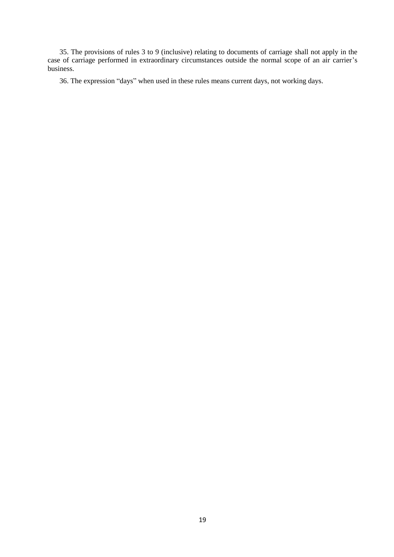35. The provisions of rules 3 to 9 (inclusive) relating to documents of carriage shall not apply in the case of carriage performed in extraordinary circumstances outside the normal scope of an air carrier's business.

36. The expression "days" when used in these rules means current days, not working days.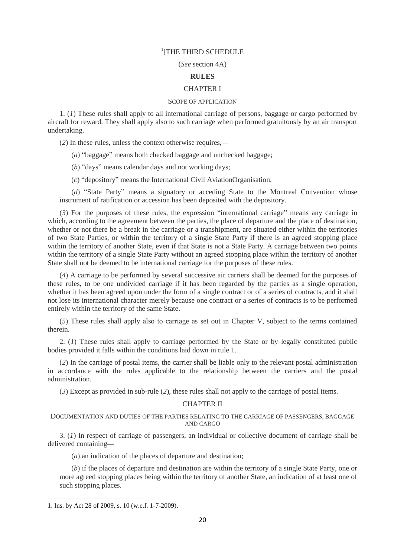# 1 [THE THIRD SCHEDULE

(*See* section 4A)

## **RULES**

### CHAPTER I

#### SCOPE OF APPLICATION

1. (*1*) These rules shall apply to all international carriage of persons, baggage or cargo performed by aircraft for reward. They shall apply also to such carriage when performed gratuitously by an air transport undertaking.

(*2*) In these rules, unless the context otherwise requires,—

(*a*) "baggage" means both checked baggage and unchecked baggage;

(*b*) "days" means calendar days and not working days;

(*c*) "depository" means the International Civil AviationOrganisation;

(*d*) "State Party" means a signatory or acceding State to the Montreal Convention whose instrument of ratification or accession has been deposited with the depository.

(*3*) For the purposes of these rules, the expression "international carriage" means any carriage in which, according to the agreement between the parties, the place of departure and the place of destination, whether or not there be a break in the carriage or a transhipment, are situated either within the territories of two State Parties, or within the territory of a single State Party if there is an agreed stopping place within the territory of another State, even if that State is not a State Party. A carriage between two points within the territory of a single State Party without an agreed stopping place within the territory of another State shall not be deemed to be international carriage for the purposes of these rules.

(*4*) A carriage to be performed by several successive air carriers shall be deemed for the purposes of these rules, to be one undivided carriage if it has been regarded by the parties as a single operation, whether it has been agreed upon under the form of a single contract or of a series of contracts, and it shall not lose its international character merely because one contract or a series of contracts is to be performed entirely within the territory of the same State.

(*5*) These rules shall apply also to carriage as set out in Chapter V, subject to the terms contained therein.

2. (*1*) These rules shall apply to carriage performed by the State or by legally constituted public bodies provided it falls within the conditions laid down in rule 1.

(*2*) In the carriage of postal items, the carrier shall be liable only to the relevant postal administration in accordance with the rules applicable to the relationship between the carriers and the postal administration.

(*3*) Except as provided in sub-rule (*2*), these rules shall not apply to the carriage of postal items.

#### CHAPTER II

DOCUMENTATION AND DUTIES OF THE PARTIES RELATING TO THE CARRIAGE OF PASSENGERS, BAGGAGE AND CARGO

3. (*1*) In respect of carriage of passengers, an individual or collective document of carriage shall be delivered containing**—**

(*a*) an indication of the places of departure and destination;

(*b*) if the places of departure and destination are within the territory of a single State Party, one or more agreed stopping places being within the territory of another State, an indication of at least one of such stopping places.

**.** 

<sup>1.</sup> Ins. by Act 28 of 2009, s. 10 (w.e.f. 1-7-2009).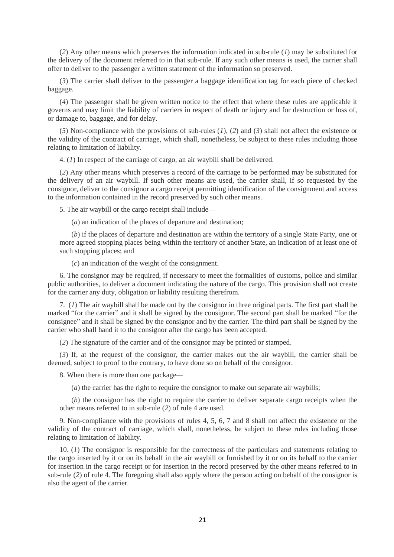(*2*) Any other means which preserves the information indicated in sub-rule (*1*) may be substituted for the delivery of the document referred to in that sub-rule. If any such other means is used, the carrier shall offer to deliver to the passenger a written statement of the information so preserved.

(*3*) The carrier shall deliver to the passenger a baggage identification tag for each piece of checked baggage.

(*4*) The passenger shall be given written notice to the effect that where these rules are applicable it governs and may limit the liability of carriers in respect of death or injury and for destruction or loss of, or damage to, baggage, and for delay.

(*5*) Non-compliance with the provisions of sub-rules (*1*), (*2*) and (*3*) shall not affect the existence or the validity of the contract of carriage, which shall, nonetheless, be subject to these rules including those relating to limitation of liability.

4. (*1*) In respect of the carriage of cargo, an air waybill shall be delivered.

(*2*) Any other means which preserves a record of the carriage to be performed may be substituted for the delivery of an air waybill. If such other means are used, the carrier shall, if so requested by the consignor, deliver to the consignor a cargo receipt permitting identification of the consignment and access to the information contained in the record preserved by such other means.

5. The air waybill or the cargo receipt shall include—

(*a*) an indication of the places of departure and destination;

(*b*) if the places of departure and destination are within the territory of a single State Party, one or more agreed stopping places being within the territory of another State, an indication of at least one of such stopping places; and

(*c*) an indication of the weight of the consignment.

6. The consignor may be required, if necessary to meet the formalities of customs, police and similar public authorities, to deliver a document indicating the nature of the cargo. This provision shall not create for the carrier any duty, obligation or liability resulting therefrom.

7. (*1*) The air waybill shall be made out by the consignor in three original parts. The first part shall be marked "for the carrier" and it shall be signed by the consignor. The second part shall be marked "for the consignee" and it shall be signed by the consignor and by the carrier. The third part shall be signed by the carrier who shall hand it to the consignor after the cargo has been accepted.

(*2*) The signature of the carrier and of the consignor may be printed or stamped.

(*3*) If, at the request of the consignor, the carrier makes out the air waybill, the carrier shall be deemed, subject to proof to the contrary, to have done so on behalf of the consignor.

8. When there is more than one package—

(*a*) the carrier has the right to require the consignor to make out separate air waybills;

(*b*) the consignor has the right to require the carrier to deliver separate cargo receipts when the other means referred to in sub-rule (*2*) of rule 4 are used.

9. Non-compliance with the provisions of rules 4, 5, 6, 7 and 8 shall not affect the existence or the validity of the contract of carriage, which shall, nonetheless, be subject to these rules including those relating to limitation of liability.

10. (*1*) The consignor is responsible for the correctness of the particulars and statements relating to the cargo inserted by it or on its behalf in the air waybill or furnished by it or on its behalf to the carrier for insertion in the cargo receipt or for insertion in the record preserved by the other means referred to in sub-rule (*2*) of rule 4. The foregoing shall also apply where the person acting on behalf of the consignor is also the agent of the carrier.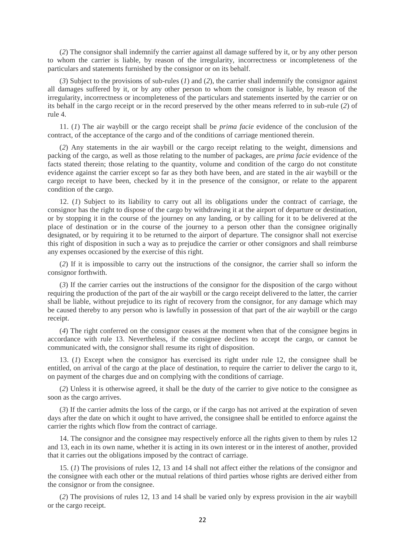(*2*) The consignor shall indemnify the carrier against all damage suffered by it, or by any other person to whom the carrier is liable, by reason of the irregularity, incorrectness or incompleteness of the particulars and statements furnished by the consignor or on its behalf.

(*3*) Subject to the provisions of sub-rules (*1*) and (*2*), the carrier shall indemnify the consignor against all damages suffered by it, or by any other person to whom the consignor is liable, by reason of the irregularity, incorrectness or incompleteness of the particulars and statements inserted by the carrier or on its behalf in the cargo receipt or in the record preserved by the other means referred to in sub-rule (*2*) of rule 4.

11. (*1*) The air waybill or the cargo receipt shall be *prima facie* evidence of the conclusion of the contract, of the acceptance of the cargo and of the conditions of carriage mentioned therein.

(*2*) Any statements in the air waybill or the cargo receipt relating to the weight, dimensions and packing of the cargo, as well as those relating to the number of packages, are *prima facie* evidence of the facts stated therein; those relating to the quantity, volume and condition of the cargo do not constitute evidence against the carrier except so far as they both have been, and are stated in the air waybill or the cargo receipt to have been, checked by it in the presence of the consignor, or relate to the apparent condition of the cargo.

12. (*1*) Subject to its liability to carry out all its obligations under the contract of carriage, the consignor has the right to dispose of the cargo by withdrawing it at the airport of departure or destination, or by stopping it in the course of the journey on any landing, or by calling for it to be delivered at the place of destination or in the course of the journey to a person other than the consignee originally designated, or by requiring it to be returned to the airport of departure. The consignor shall not exercise this right of disposition in such a way as to prejudice the carrier or other consignors and shall reimburse any expenses occasioned by the exercise of this right.

(*2*) If it is impossible to carry out the instructions of the consignor, the carrier shall so inform the consignor forthwith.

(*3*) If the carrier carries out the instructions of the consignor for the disposition of the cargo without requiring the production of the part of the air waybill or the cargo receipt delivered to the latter, the carrier shall be liable, without prejudice to its right of recovery from the consignor, for any damage which may be caused thereby to any person who is lawfully in possession of that part of the air waybill or the cargo receipt.

(*4*) The right conferred on the consignor ceases at the moment when that of the consignee begins in accordance with rule 13. Nevertheless, if the consignee declines to accept the cargo, or cannot be communicated with, the consignor shall resume its right of disposition.

13. (*1*) Except when the consignor has exercised its right under rule 12, the consignee shall be entitled, on arrival of the cargo at the place of destination, to require the carrier to deliver the cargo to it, on payment of the charges due and on complying with the conditions of carriage.

(*2*) Unless it is otherwise agreed, it shall be the duty of the carrier to give notice to the consignee as soon as the cargo arrives.

(*3*) If the carrier admits the loss of the cargo, or if the cargo has not arrived at the expiration of seven days after the date on which it ought to have arrived, the consignee shall be entitled to enforce against the carrier the rights which flow from the contract of carriage.

14. The consignor and the consignee may respectively enforce all the rights given to them by rules 12 and 13, each in its own name, whether it is acting in its own interest or in the interest of another, provided that it carries out the obligations imposed by the contract of carriage.

15. (*1*) The provisions of rules 12, 13 and 14 shall not affect either the relations of the consignor and the consignee with each other or the mutual relations of third parties whose rights are derived either from the consignor or from the consignee.

(*2*) The provisions of rules 12, 13 and 14 shall be varied only by express provision in the air waybill or the cargo receipt.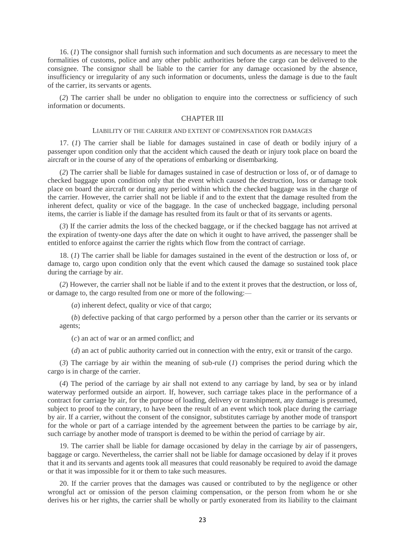16. (*1*) The consignor shall furnish such information and such documents as are necessary to meet the formalities of customs, police and any other public authorities before the cargo can be delivered to the consignee. The consignor shall be liable to the carrier for any damage occasioned by the absence, insufficiency or irregularity of any such information or documents, unless the damage is due to the fault of the carrier, its servants or agents.

(*2*) The carrier shall be under no obligation to enquire into the correctness or sufficiency of such information or documents.

### CHAPTER III

#### LIABILITY OF THE CARRIER AND EXTENT OF COMPENSATION FOR DAMAGES

17. (*1*) The carrier shall be liable for damages sustained in case of death or bodily injury of a passenger upon condition only that the accident which caused the death or injury took place on board the aircraft or in the course of any of the operations of embarking or disembarking.

(*2*) The carrier shall be liable for damages sustained in case of destruction or loss of, or of damage to checked baggage upon condition only that the event which caused the destruction, loss or damage took place on board the aircraft or during any period within which the checked baggage was in the charge of the carrier. However, the carrier shall not be liable if and to the extent that the damage resulted from the inherent defect, quality or vice of the baggage. In the case of unchecked baggage, including personal items, the carrier is liable if the damage has resulted from its fault or that of its servants or agents.

(*3*) If the carrier admits the loss of the checked baggage, or if the checked baggage has not arrived at the expiration of twenty-one days after the date on which it ought to have arrived, the passenger shall be entitled to enforce against the carrier the rights which flow from the contract of carriage.

18. (*1*) The carrier shall be liable for damages sustained in the event of the destruction or loss of, or damage to, cargo upon condition only that the event which caused the damage so sustained took place during the carriage by air.

(*2*) However, the carrier shall not be liable if and to the extent it proves that the destruction, or loss of, or damage to, the cargo resulted from one or more of the following:—

(*a*) inherent defect, quality or vice of that cargo;

(*b*) defective packing of that cargo performed by a person other than the carrier or its servants or agents;

(*c*) an act of war or an armed conflict; and

(*d*) an act of public authority carried out in connection with the entry, exit or transit of the cargo.

(*3*) The carriage by air within the meaning of sub-rule (*1*) comprises the period during which the cargo is in charge of the carrier.

(*4*) The period of the carriage by air shall not extend to any carriage by land, by sea or by inland waterway performed outside an airport. If, however, such carriage takes place in the performance of a contract for carriage by air, for the purpose of loading, delivery or transhipment, any damage is presumed, subject to proof to the contrary, to have been the result of an event which took place during the carriage by air. If a carrier, without the consent of the consignor, substitutes carriage by another mode of transport for the whole or part of a carriage intended by the agreement between the parties to be carriage by air, such carriage by another mode of transport is deemed to be within the period of carriage by air.

19. The carrier shall be liable for damage occasioned by delay in the carriage by air of passengers, baggage or cargo. Nevertheless, the carrier shall not be liable for damage occasioned by delay if it proves that it and its servants and agents took all measures that could reasonably be required to avoid the damage or that it was impossible for it or them to take such measures.

20. If the carrier proves that the damages was caused or contributed to by the negligence or other wrongful act or omission of the person claiming compensation, or the person from whom he or she derives his or her rights, the carrier shall be wholly or partly exonerated from its liability to the claimant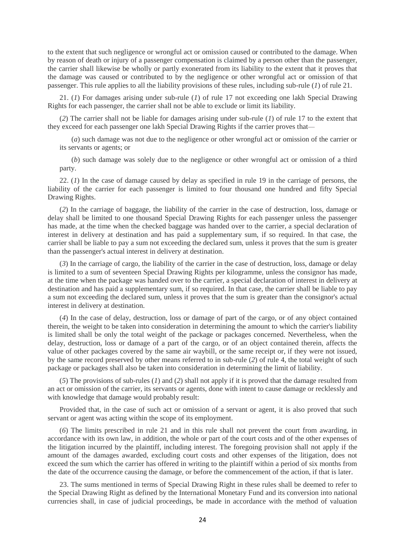to the extent that such negligence or wrongful act or omission caused or contributed to the damage. When by reason of death or injury of a passenger compensation is claimed by a person other than the passenger, the carrier shall likewise be wholly or partly exonerated from its liability to the extent that it proves that the damage was caused or contributed to by the negligence or other wrongful act or omission of that passenger. This rule applies to all the liability provisions of these rules, including sub-rule (*1*) of rule 21.

21. (*1*) For damages arising under sub-rule (*1*) of rule 17 not exceeding one lakh Special Drawing Rights for each passenger, the carrier shall not be able to exclude or limit its liability.

(*2*) The carrier shall not be liable for damages arising under sub-rule (*1*) of rule 17 to the extent that they exceed for each passenger one lakh Special Drawing Rights if the carrier proves that—

(*a*) such damage was not due to the negligence or other wrongful act or omission of the carrier or its servants or agents; or

(*b*) such damage was solely due to the negligence or other wrongful act or omission of a third party.

22. (*1*) In the case of damage caused by delay as specified in rule 19 in the carriage of persons, the liability of the carrier for each passenger is limited to four thousand one hundred and fifty Special Drawing Rights.

(*2*) In the carriage of baggage, the liability of the carrier in the case of destruction, loss, damage or delay shall be limited to one thousand Special Drawing Rights for each passenger unless the passenger has made, at the time when the checked baggage was handed over to the carrier, a special declaration of interest in delivery at destination and has paid a supplementary sum, if so required. In that case, the carrier shall be liable to pay a sum not exceeding the declared sum, unless it proves that the sum is greater than the passenger's actual interest in delivery at destination.

(*3*) In the carriage of cargo, the liability of the carrier in the case of destruction, loss, damage or delay is limited to a sum of seventeen Special Drawing Rights per kilogramme, unless the consignor has made, at the time when the package was handed over to the carrier, a special declaration of interest in delivery at destination and has paid a supplementary sum, if so required. In that case, the carrier shall be liable to pay a sum not exceeding the declared sum, unless it proves that the sum is greater than the consignor's actual interest in delivery at destination.

(*4*) In the case of delay, destruction, loss or damage of part of the cargo, or of any object contained therein, the weight to be taken into consideration in determining the amount to which the carrier's liability is limited shall be only the total weight of the package or packages concerned. Nevertheless, when the delay, destruction, loss or damage of a part of the cargo, or of an object contained therein, affects the value of other packages covered by the same air waybill, or the same receipt or, if they were not issued, by the same record preserved by other means referred to in sub-rule (*2*) of rule 4, the total weight of such package or packages shall also be taken into consideration in determining the limit of liability.

(*5*) The provisions of sub-rules (*1*) and (*2*) shall not apply if it is proved that the damage resulted from an act or omission of the carrier, its servants or agents, done with intent to cause damage or recklessly and with knowledge that damage would probably result:

Provided that, in the case of such act or omission of a servant or agent, it is also proved that such servant or agent was acting within the scope of its employment.

(*6*) The limits prescribed in rule 21 and in this rule shall not prevent the court from awarding, in accordance with its own law, in addition, the whole or part of the court costs and of the other expenses of the litigation incurred by the plaintiff, including interest. The foregoing provision shall not apply if the amount of the damages awarded, excluding court costs and other expenses of the litigation, does not exceed the sum which the carrier has offered in writing to the plaintiff within a period of six months from the date of the occurrence causing the damage, or before the commencement of the action, if that is later.

23. The sums mentioned in terms of Special Drawing Right in these rules shall be deemed to refer to the Special Drawing Right as defined by the International Monetary Fund and its conversion into national currencies shall, in case of judicial proceedings, be made in accordance with the method of valuation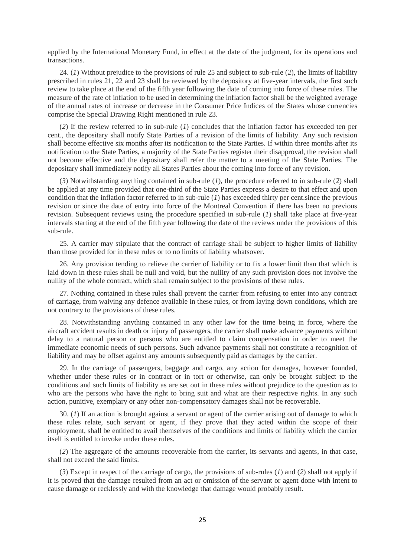applied by the International Monetary Fund, in effect at the date of the judgment, for its operations and transactions.

24. (*1*) Without prejudice to the provisions of rule 25 and subject to sub-rule (*2*), the limits of liability prescribed in rules 21, 22 and 23 shall be reviewed by the depository at five-year intervals, the first such review to take place at the end of the fifth year following the date of coming into force of these rules. The measure of the rate of inflation to be used in determining the inflation factor shall be the weighted average of the annual rates of increase or decrease in the Consumer Price Indices of the States whose currencies comprise the Special Drawing Right mentioned in rule 23.

(*2*) If the review referred to in sub-rule (*1*) concludes that the inflation factor has exceeded ten per cent., the depositary shall notify State Parties of a revision of the limits of liability. Any such revision shall become effective six months after its notification to the State Parties. If within three months after its notification to the State Parties, a majority of the State Parties register their disapproval, the revision shall not become effective and the depositary shall refer the matter to a meeting of the State Parties. The depositary shall immediately notify all States Parties about the coming into force of any revision.

(*3*) Notwithstanding anything contained in sub-rule (*1*), the procedure referred to in sub-rule (*2*) shall be applied at any time provided that one-third of the State Parties express a desire to that effect and upon condition that the inflation factor referred to in sub-rule (*1*) has exceeded thirty per cent.since the previous revision or since the date of entry into force of the Montreal Convention if there has been no previous revision. Subsequent reviews using the procedure specified in sub-rule (*1*) shall take place at five-year intervals starting at the end of the fifth year following the date of the reviews under the provisions of this sub-rule.

25. A carrier may stipulate that the contract of carriage shall be subject to higher limits of liability than those provided for in these rules or to no limits of liability whatsover.

26. Any provision tending to relieve the carrier of liability or to fix a lower limit than that which is laid down in these rules shall be null and void, but the nullity of any such provision does not involve the nullity of the whole contract, which shall remain subject to the provisions of these rules.

27. Nothing contained in these rules shall prevent the carrier from refusing to enter into any contract of carriage, from waiving any defence available in these rules, or from laying down conditions, which are not contrary to the provisions of these rules.

28. Notwithstanding anything contained in any other law for the time being in force, where the aircraft accident results in death or injury of passengers, the carrier shall make advance payments without delay to a natural person or persons who are entitled to claim compensation in order to meet the immediate economic needs of such persons. Such advance payments shall not constitute a recognition of liability and may be offset against any amounts subsequently paid as damages by the carrier.

29. In the carriage of passengers, baggage and cargo, any action for damages, however founded, whether under these rules or in contract or in tort or otherwise, can only be brought subject to the conditions and such limits of liability as are set out in these rules without prejudice to the question as to who are the persons who have the right to bring suit and what are their respective rights. In any such action, punitive, exemplary or any other non-compensatory damages shall not be recoverable.

30. (*1*) If an action is brought against a servant or agent of the carrier arising out of damage to which these rules relate, such servant or agent, if they prove that they acted within the scope of their employment, shall be entitled to avail themselves of the conditions and limits of liability which the carrier itself is entitled to invoke under these rules.

(*2*) The aggregate of the amounts recoverable from the carrier, its servants and agents, in that case, shall not exceed the said limits.

(*3*) Except in respect of the carriage of cargo, the provisions of sub-rules (*1*) and (*2*) shall not apply if it is proved that the damage resulted from an act or omission of the servant or agent done with intent to cause damage or recklessly and with the knowledge that damage would probably result.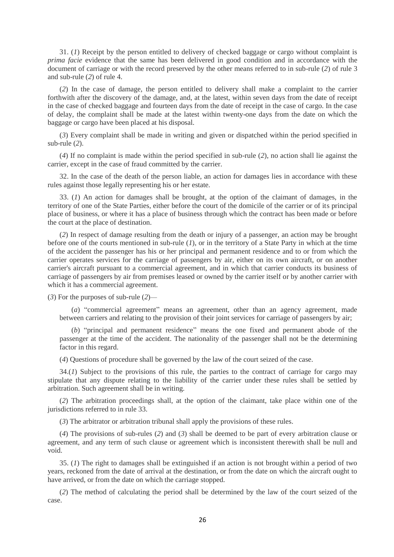31. (*1*) Receipt by the person entitled to delivery of checked baggage or cargo without complaint is *prima facie* evidence that the same has been delivered in good condition and in accordance with the document of carriage or with the record preserved by the other means referred to in sub-rule (*2*) of rule 3 and sub-rule (*2*) of rule 4.

(*2*) In the case of damage, the person entitled to delivery shall make a complaint to the carrier forthwith after the discovery of the damage, and, at the latest, within seven days from the date of receipt in the case of checked baggage and fourteen days from the date of receipt in the case of cargo. In the case of delay, the complaint shall be made at the latest within twenty-one days from the date on which the baggage or cargo have been placed at his disposal.

(*3*) Every complaint shall be made in writing and given or dispatched within the period specified in sub-rule (*2*).

(*4*) If no complaint is made within the period specified in sub-rule (*2*), no action shall lie against the carrier, except in the case of fraud committed by the carrier.

32. In the case of the death of the person liable, an action for damages lies in accordance with these rules against those legally representing his or her estate.

33. (*1*) An action for damages shall be brought, at the option of the claimant of damages, in the territory of one of the State Parties, either before the court of the domicile of the carrier or of its principal place of business, or where it has a place of business through which the contract has been made or before the court at the place of destination.

(*2*) In respect of damage resulting from the death or injury of a passenger, an action may be brought before one of the courts mentioned in sub-rule (*1*), or in the territory of a State Party in which at the time of the accident the passenger has his or her principal and permanent residence and to or from which the carrier operates services for the carriage of passengers by air, either on its own aircraft, or on another carrier's aircraft pursuant to a commercial agreement, and in which that carrier conducts its business of carriage of passengers by air from premises leased or owned by the carrier itself or by another carrier with which it has a commercial agreement.

(*3*) For the purposes of sub-rule (*2*)—

(*a*) "commercial agreement" means an agreement, other than an agency agreement, made between carriers and relating to the provision of their joint services for carriage of passengers by air;

(*b*) "principal and permanent residence" means the one fixed and permanent abode of the passenger at the time of the accident. The nationality of the passenger shall not be the determining factor in this regard.

(*4*) Questions of procedure shall be governed by the law of the court seized of the case.

34.(*1*) Subject to the provisions of this rule, the parties to the contract of carriage for cargo may stipulate that any dispute relating to the liability of the carrier under these rules shall be settled by arbitration. Such agreement shall be in writing.

(*2*) The arbitration proceedings shall, at the option of the claimant, take place within one of the jurisdictions referred to in rule 33.

(*3*) The arbitrator or arbitration tribunal shall apply the provisions of these rules.

(*4*) The provisions of sub-rules (*2*) and (*3*) shall be deemed to be part of every arbitration clause or agreement, and any term of such clause or agreement which is inconsistent therewith shall be null and void.

35. (*1*) The right to damages shall be extinguished if an action is not brought within a period of two years, reckoned from the date of arrival at the destination, or from the date on which the aircraft ought to have arrived, or from the date on which the carriage stopped.

(*2*) The method of calculating the period shall be determined by the law of the court seized of the case.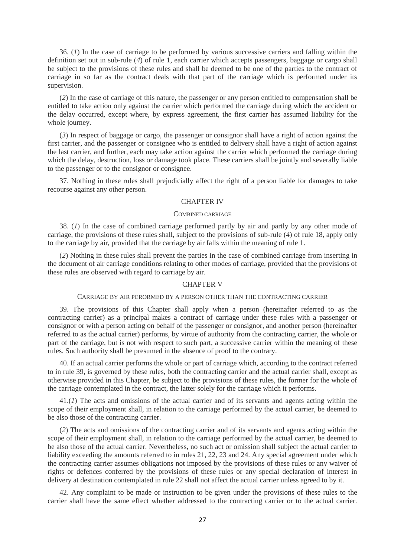36. (*1*) In the case of carriage to be performed by various successive carriers and falling within the definition set out in sub-rule (*4*) of rule 1, each carrier which accepts passengers, baggage or cargo shall be subject to the provisions of these rules and shall be deemed to be one of the parties to the contract of carriage in so far as the contract deals with that part of the carriage which is performed under its supervision.

(*2*) In the case of carriage of this nature, the passenger or any person entitled to compensation shall be entitled to take action only against the carrier which performed the carriage during which the accident or the delay occurred, except where, by express agreement, the first carrier has assumed liability for the whole journey.

(*3*) In respect of baggage or cargo, the passenger or consignor shall have a right of action against the first carrier, and the passenger or consignee who is entitled to delivery shall have a right of action against the last carrier, and further, each may take action against the carrier which performed the carriage during which the delay, destruction, loss or damage took place. These carriers shall be jointly and severally liable to the passenger or to the consignor or consignee.

37. Nothing in these rules shall prejudicially affect the right of a person liable for damages to take recourse against any other person.

### CHAPTER IV

#### COMBINED CARRIAGE

38. (*1*) In the case of combined carriage performed partly by air and partly by any other mode of carriage, the provisions of these rules shall, subject to the provisions of sub-rule (*4*) of rule 18, apply only to the carriage by air, provided that the carriage by air falls within the meaning of rule 1.

(*2*) Nothing in these rules shall prevent the parties in the case of combined carriage from inserting in the document of air carriage conditions relating to other modes of carriage, provided that the provisions of these rules are observed with regard to carriage by air.

#### CHAPTER V

#### CARRIAGE BY AIR PERORMED BY A PERSON OTHER THAN THE CONTRACTING CARRIER

39. The provisions of this Chapter shall apply when a person (hereinafter referred to as the contracting carrier) as a principal makes a contract of carriage under these rules with a passenger or consignor or with a person acting on behalf of the passenger or consignor, and another person (hereinafter referred to as the actual carrier) performs, by virtue of authority from the contracting carrier, the whole or part of the carriage, but is not with respect to such part, a successive carrier within the meaning of these rules. Such authority shall be presumed in the absence of proof to the contrary.

40. If an actual carrier performs the whole or part of carriage which, according to the contract referred to in rule 39, is governed by these rules, both the contracting carrier and the actual carrier shall, except as otherwise provided in this Chapter, be subject to the provisions of these rules, the former for the whole of the carriage contemplated in the contract, the latter solely for the carriage which it performs.

41.(*1*) The acts and omissions of the actual carrier and of its servants and agents acting within the scope of their employment shall, in relation to the carriage performed by the actual carrier, be deemed to be also those of the contracting carrier.

(*2*) The acts and omissions of the contracting carrier and of its servants and agents acting within the scope of their employment shall, in relation to the carriage performed by the actual carrier, be deemed to be also those of the actual carrier. Nevertheless, no such act or omission shall subject the actual carrier to liability exceeding the amounts referred to in rules 21, 22, 23 and 24. Any special agreement under which the contracting carrier assumes obligations not imposed by the provisions of these rules or any waiver of rights or defences conferred by the provisions of these rules or any special declaration of interest in delivery at destination contemplated in rule 22 shall not affect the actual carrier unless agreed to by it.

42. Any complaint to be made or instruction to be given under the provisions of these rules to the carrier shall have the same effect whether addressed to the contracting carrier or to the actual carrier.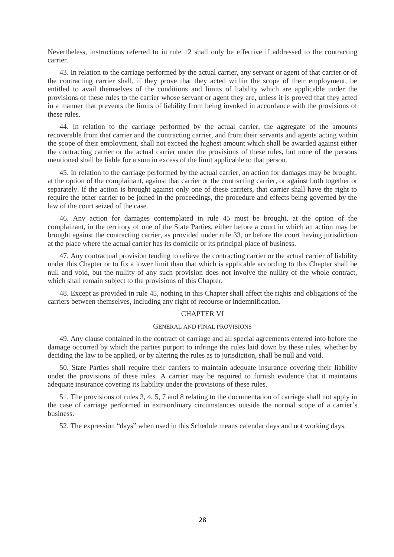Nevertheless, instructions referred to in rule 12 shall only be effective if addressed to the contracting carrier.

43. In relation to the carriage performed by the actual carrier, any servant or agent of that carrier or of the contracting carrier shall, if they prove that they acted within the scope of their employment, be entitled to avail themselves of the conditions and limits of liability which are applicable under the provisions of these rules to the carrier whose servant or agent they are, unless it is proved that they acted in a manner that prevents the limits of liability from being invoked in accordance with the provisions of these rules.

44. In relation to the carriage performed by the actual carrier, the aggregate of the amounts recoverable from that carrier and the contracting carrier, and from their servants and agents acting within the scope of their employment, shall not exceed the highest amount which shall be awarded against either the contracting carrier or the actual carrier under the provisions of these rules, but none of the persons mentioned shall be liable for a sum in excess of the limit applicable to that person.

45. In relation to the carriage performed by the actual carrier, an action for damages may be brought, at the option of the complainant, against that carrier or the contracting carrier, or against both together or separately. If the action is brought against only one of these carriers, that carrier shall have the right to require the other carrier to be joined in the proceedings, the procedure and effects being governed by the law of the court seized of the case.

46. Any action for damages contemplated in rule 45 must be brought, at the option of the complainant, in the territory of one of the State Parties, either before a court in which an action may be brought against the contracting carrier, as provided under rule 33, or before the court having jurisdiction at the place where the actual carrier has its domicile or its principal place of business.

47. Any contractual provision tending to relieve the contracting carrier or the actual carrier of liability under this Chapter or to fix a lower limit than that which is applicable according to this Chapter shall be null and void, but the nullity of any such provision does not involve the nullity of the whole contract, which shall remain subject to the provisions of this Chapter.

48. Except as provided in rule 45, nothing in this Chapter shall affect the rights and obligations of the carriers between themselves, including any right of recourse or indemnification.

#### CHAPTER VI

#### GENERAL AND FINAL PROVISIONS

49. Any clause contained in the contract of carriage and all special agreements entered into before the damage occurred by which the parties purport to infringe the rules laid down by these rules, whether by deciding the law to be applied, or by altering the rules as to jurisdiction, shall be null and void.

50. State Parties shall require their carriers to maintain adequate insurance covering their liability under the provisions of these rules. A carrier may be required to furnish evidence that it maintains adequate insurance covering its liability under the provisions of these rules.

51. The provisions of rules 3, 4, 5, 7 and 8 relating to the documentation of carriage shall not apply in the case of carriage performed in extraordinary circumstances outside the normal scope of a carrier's business.

52. The expression "days" when used in this Schedule means calendar days and not working days.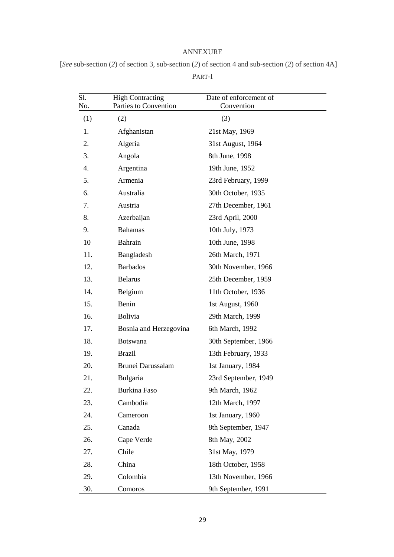# ANNEXURE

[*See* sub-section (*2*) of section 3, sub-section (*2*) of section 4 and sub-section (*2*) of section 4A]

| S1. | <b>High Contracting</b> | Date of enforcement of |  |
|-----|-------------------------|------------------------|--|
| No. | Parties to Convention   | Convention             |  |
| (1) | (2)                     | (3)                    |  |
| 1.  | Afghanistan             | 21st May, 1969         |  |
| 2.  | Algeria                 | 31st August, 1964      |  |
| 3.  | Angola                  | 8th June, 1998         |  |
| 4.  | Argentina               | 19th June, 1952        |  |
| 5.  | Armenia                 | 23rd February, 1999    |  |
| 6.  | Australia               | 30th October, 1935     |  |
| 7.  | Austria                 | 27th December, 1961    |  |
| 8.  | Azerbaijan              | 23rd April, 2000       |  |
| 9.  | <b>Bahamas</b>          | 10th July, 1973        |  |
| 10  | Bahrain                 | 10th June, 1998        |  |
| 11. | Bangladesh              | 26th March, 1971       |  |
| 12. | <b>Barbados</b>         | 30th November, 1966    |  |
| 13. | <b>Belarus</b>          | 25th December, 1959    |  |
| 14. | Belgium                 | 11th October, 1936     |  |
| 15. | Benin                   | 1st August, 1960       |  |
| 16. | <b>Bolivia</b>          | 29th March, 1999       |  |
| 17. | Bosnia and Herzegovina  | 6th March, 1992        |  |
| 18. | <b>Botswana</b>         | 30th September, 1966   |  |
| 19. | <b>Brazil</b>           | 13th February, 1933    |  |
| 20. | Brunei Darussalam       | 1st January, 1984      |  |
| 21. | Bulgaria                | 23rd September, 1949   |  |
| 22. | <b>Burkina Faso</b>     | 9th March, 1962        |  |
| 23. | Cambodia                | 12th March, 1997       |  |
| 24. | Cameroon                | 1st January, 1960      |  |
| 25. | Canada                  | 8th September, 1947    |  |
| 26. | Cape Verde              | 8th May, 2002          |  |
| 27. | Chile                   | 31st May, 1979         |  |
| 28. | China                   | 18th October, 1958     |  |
| 29. | Colombia                | 13th November, 1966    |  |
| 30. | Comoros                 | 9th September, 1991    |  |

# PART-I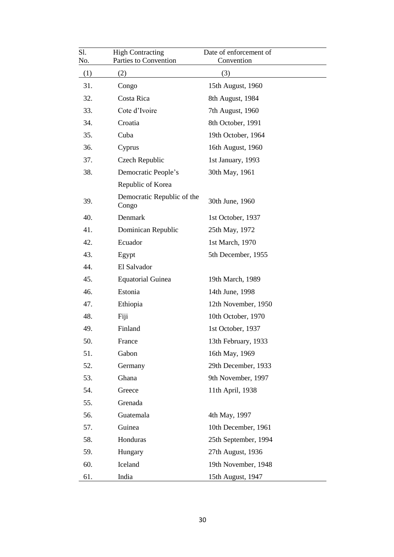| Sl. | <b>High Contracting</b>             | Date of enforcement of |
|-----|-------------------------------------|------------------------|
| No. | Parties to Convention               | Convention             |
| (1) | (2)                                 | (3)                    |
| 31. | Congo                               | 15th August, 1960      |
| 32. | Costa Rica                          | 8th August, 1984       |
| 33. | Cote d'Ivoire                       | 7th August, 1960       |
| 34. | Croatia                             | 8th October, 1991      |
| 35. | Cuba                                | 19th October, 1964     |
| 36. | Cyprus                              | 16th August, 1960      |
| 37. | Czech Republic                      | 1st January, 1993      |
| 38. | Democratic People's                 | 30th May, 1961         |
|     | Republic of Korea                   |                        |
| 39. | Democratic Republic of the<br>Congo | 30th June, 1960        |
| 40. | Denmark                             | 1st October, 1937      |
| 41. | Dominican Republic                  | 25th May, 1972         |
| 42. | Ecuador                             | 1st March, 1970        |
| 43. | Egypt                               | 5th December, 1955     |
| 44. | El Salvador                         |                        |
| 45. | <b>Equatorial Guinea</b>            | 19th March, 1989       |
| 46. | Estonia                             | 14th June, 1998        |
| 47. | Ethiopia                            | 12th November, 1950    |
| 48. | Fiji                                | 10th October, 1970     |
| 49. | Finland                             | 1st October, 1937      |
| 50. | France                              | 13th February, 1933    |
| 51. | Gabon                               | 16th May, 1969         |
| 52. | Germany                             | 29th December, 1933    |
| 53. | Ghana                               | 9th November, 1997     |
| 54. | Greece                              | 11th April, 1938       |
| 55. | Grenada                             |                        |
| 56. | Guatemala                           | 4th May, 1997          |
| 57. | Guinea                              | 10th December, 1961    |
| 58. | Honduras                            | 25th September, 1994   |
| 59. | Hungary                             | 27th August, 1936      |
| 60. | Iceland                             | 19th November, 1948    |
| 61. | India                               | 15th August, 1947      |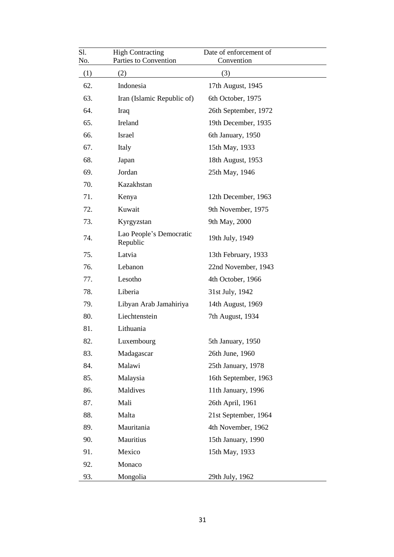| Sl. | <b>High Contracting</b>             | Date of enforcement of |
|-----|-------------------------------------|------------------------|
| No. | Parties to Convention               | Convention             |
| (1) | (2)                                 | (3)                    |
| 62. | Indonesia                           | 17th August, 1945      |
| 63. | Iran (Islamic Republic of)          | 6th October, 1975      |
| 64. | Iraq                                | 26th September, 1972   |
| 65. | Ireland                             | 19th December, 1935    |
| 66. | <b>Israel</b>                       | 6th January, 1950      |
| 67. | Italy                               | 15th May, 1933         |
| 68. | Japan                               | 18th August, 1953      |
| 69. | Jordan                              | 25th May, 1946         |
| 70. | Kazakhstan                          |                        |
| 71. | Kenya                               | 12th December, 1963    |
| 72. | Kuwait                              | 9th November, 1975     |
| 73. | Kyrgyzstan                          | 9th May, 2000          |
| 74. | Lao People's Democratic<br>Republic | 19th July, 1949        |
| 75. | Latvia                              | 13th February, 1933    |
| 76. | Lebanon                             | 22nd November, 1943    |
| 77. | Lesotho                             | 4th October, 1966      |
| 78. | Liberia                             | 31st July, 1942        |
| 79. | Libyan Arab Jamahiriya              | 14th August, 1969      |
| 80. | Liechtenstein                       | 7th August, 1934       |
| 81. | Lithuania                           |                        |
| 82. | Luxembourg                          | 5th January, 1950      |
| 83. | Madagascar                          | 26th June, 1960        |
| 84. | Malawi                              | 25th January, 1978     |
| 85. | Malaysia                            | 16th September, 1963   |
| 86. | Maldives                            | 11th January, 1996     |
| 87. | Mali                                | 26th April, 1961       |
| 88. | Malta                               | 21st September, 1964   |
| 89. | Mauritania                          | 4th November, 1962     |
| 90. | Mauritius                           | 15th January, 1990     |
| 91. | Mexico                              | 15th May, 1933         |
| 92. | Monaco                              |                        |
| 93. | Mongolia                            | 29th July, 1962        |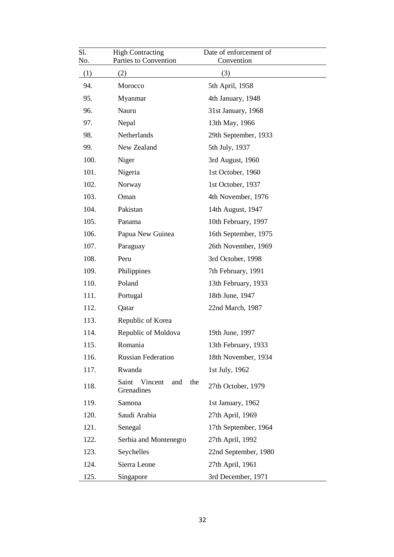| Sl.  | <b>High Contracting</b>                      | Date of enforcement of |
|------|----------------------------------------------|------------------------|
| No.  | Parties to Convention                        | Convention             |
| (1)  | (2)                                          | (3)                    |
| 94.  | Morocco                                      | 5th April, 1958        |
| 95.  | Myanmar                                      | 4th January, 1948      |
| 96.  | Nauru                                        | 31st January, 1968     |
| 97.  | Nepal                                        | 13th May, 1966         |
| 98.  | Netherlands                                  | 29th September, 1933   |
| 99.  | New Zealand                                  | 5th July, 1937         |
| 100. | Niger                                        | 3rd August, 1960       |
| 101. | Nigeria                                      | 1st October, 1960      |
| 102. | Norway                                       | 1st October, 1937      |
| 103. | Oman                                         | 4th November, 1976     |
| 104. | Pakistan                                     | 14th August, 1947      |
| 105. | Panama                                       | 10th February, 1997    |
| 106. | Papua New Guinea                             | 16th September, 1975   |
| 107. | Paraguay                                     | 26th November, 1969    |
| 108. | Peru                                         | 3rd October, 1998      |
| 109. | Philippines                                  | 7th February, 1991     |
| 110. | Poland                                       | 13th February, 1933    |
| 111. | Portugal                                     | 18th June, 1947        |
| 112. | Qatar                                        | 22nd March, 1987       |
| 113. | Republic of Korea                            |                        |
| 114. | Republic of Moldova                          | 19th June, 1997        |
| 115. | Romania                                      | 13th February, 1933    |
| 116. | <b>Russian Federation</b>                    | 18th November, 1934    |
| 117. | Rwanda                                       | 1st July, 1962         |
| 118. | Vincent<br>and<br>the<br>Saint<br>Grenadines | 27th October, 1979     |
| 119. | Samona                                       | 1st January, 1962      |
| 120. | Saudi Arabia                                 | 27th April, 1969       |
| 121. | Senegal                                      | 17th September, 1964   |
| 122. | Serbia and Montenegro                        | 27th April, 1992       |
| 123. | Seychelles                                   | 22nd September, 1980   |
| 124. | Sierra Leone                                 | 27th April, 1961       |
| 125. | Singapore                                    | 3rd December, 1971     |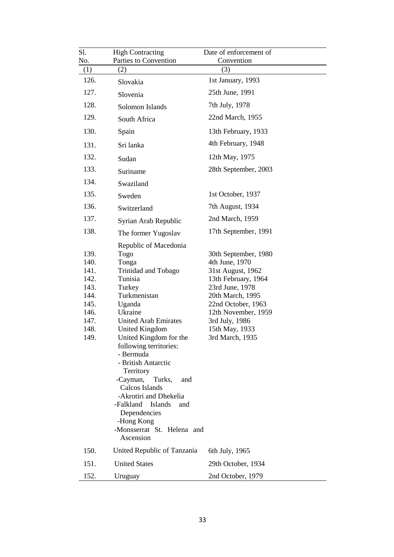| Sl.                                                                                  | <b>High Contracting</b>                                                                                                                                                                                                                                                                                                                                                                                                                                     | Date of enforcement of                                                                                                                                                                                                        |
|--------------------------------------------------------------------------------------|-------------------------------------------------------------------------------------------------------------------------------------------------------------------------------------------------------------------------------------------------------------------------------------------------------------------------------------------------------------------------------------------------------------------------------------------------------------|-------------------------------------------------------------------------------------------------------------------------------------------------------------------------------------------------------------------------------|
| No.                                                                                  | Parties to Convention                                                                                                                                                                                                                                                                                                                                                                                                                                       | Convention                                                                                                                                                                                                                    |
| (1)                                                                                  | (2)                                                                                                                                                                                                                                                                                                                                                                                                                                                         | (3)                                                                                                                                                                                                                           |
| 126.                                                                                 | Slovakia                                                                                                                                                                                                                                                                                                                                                                                                                                                    | 1st January, 1993                                                                                                                                                                                                             |
| 127.                                                                                 | Slovenia                                                                                                                                                                                                                                                                                                                                                                                                                                                    | 25th June, 1991                                                                                                                                                                                                               |
| 128.                                                                                 | Solomon Islands                                                                                                                                                                                                                                                                                                                                                                                                                                             | 7th July, 1978                                                                                                                                                                                                                |
| 129.                                                                                 | South Africa                                                                                                                                                                                                                                                                                                                                                                                                                                                | 22nd March, 1955                                                                                                                                                                                                              |
| 130.                                                                                 | Spain                                                                                                                                                                                                                                                                                                                                                                                                                                                       | 13th February, 1933                                                                                                                                                                                                           |
| 131.                                                                                 | Sri lanka                                                                                                                                                                                                                                                                                                                                                                                                                                                   | 4th February, 1948                                                                                                                                                                                                            |
| 132.                                                                                 | Sudan                                                                                                                                                                                                                                                                                                                                                                                                                                                       | 12th May, 1975                                                                                                                                                                                                                |
| 133.                                                                                 | Suriname                                                                                                                                                                                                                                                                                                                                                                                                                                                    | 28th September, 2003                                                                                                                                                                                                          |
| 134.                                                                                 | Swaziland                                                                                                                                                                                                                                                                                                                                                                                                                                                   |                                                                                                                                                                                                                               |
| 135.                                                                                 | Sweden                                                                                                                                                                                                                                                                                                                                                                                                                                                      | 1st October, 1937                                                                                                                                                                                                             |
| 136.                                                                                 | Switzerland                                                                                                                                                                                                                                                                                                                                                                                                                                                 | 7th August, 1934                                                                                                                                                                                                              |
| 137.                                                                                 | Syrian Arab Republic                                                                                                                                                                                                                                                                                                                                                                                                                                        | 2nd March, 1959                                                                                                                                                                                                               |
| 138.                                                                                 | The former Yugoslav                                                                                                                                                                                                                                                                                                                                                                                                                                         | 17th September, 1991                                                                                                                                                                                                          |
| 139.<br>140.<br>141.<br>142.<br>143.<br>144.<br>145.<br>146.<br>147.<br>148.<br>149. | Republic of Macedonia<br>Togo<br>Tonga<br>Trinidad and Tobago<br>Tunisia<br>Turkey<br>Turkmenistan<br>Uganda<br>Ukraine<br><b>United Arab Emirates</b><br>United Kingdom<br>United Kingdom for the<br>following territories:<br>- Bermuda<br>- British Antarctic<br>Territory<br>-Cayman,<br>Turks,<br>and<br>Calcos Islands<br>-Akrotiri and Dhekelia<br>-Falkland Islands<br>and<br>Dependencies<br>-Hong Kong<br>-Monsserrat St. Helena and<br>Ascension | 30th September, 1980<br>4th June, 1970<br>31st August, 1962<br>13th February, 1964<br>23rd June, 1978<br>20th March, 1995<br>22nd October, 1963<br>12th November, 1959<br>3rd July, 1986<br>15th May, 1933<br>3rd March, 1935 |
| 150.                                                                                 | United Republic of Tanzania                                                                                                                                                                                                                                                                                                                                                                                                                                 | 6th July, 1965                                                                                                                                                                                                                |
| 151.                                                                                 | <b>United States</b>                                                                                                                                                                                                                                                                                                                                                                                                                                        | 29th October, 1934                                                                                                                                                                                                            |
| 152.                                                                                 | Uruguay                                                                                                                                                                                                                                                                                                                                                                                                                                                     | 2nd October, 1979                                                                                                                                                                                                             |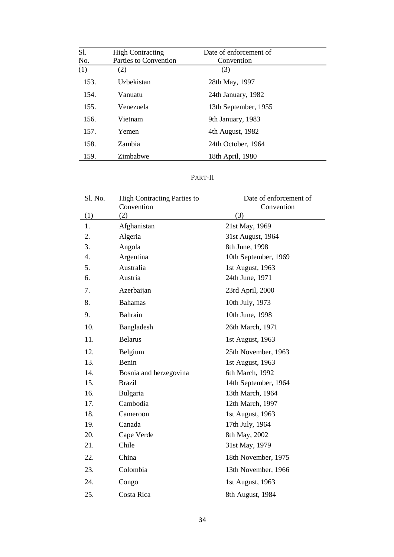| S1.  | <b>High Contracting</b> | Date of enforcement of |  |
|------|-------------------------|------------------------|--|
| No.  | Parties to Convention   | Convention             |  |
| (1)  | (2)                     | (3)                    |  |
| 153. | Uzbekistan              | 28th May, 1997         |  |
| 154. | Vanuatu                 | 24th January, 1982     |  |
| 155. | Venezuela               | 13th September, 1955   |  |
| 156. | Vietnam                 | 9th January, 1983      |  |
| 157. | Yemen                   | 4th August, 1982       |  |
| 158. | Zambia                  | 24th October, 1964     |  |
| 159. | Zimbabwe                | 18th April, 1980       |  |

| Sl. No.          | <b>High Contracting Parties to</b><br>Convention | Date of enforcement of<br>Convention |
|------------------|--------------------------------------------------|--------------------------------------|
| (1)              | (2)                                              | (3)                                  |
| 1.               | Afghanistan                                      | 21st May, 1969                       |
| 2.               | Algeria                                          | 31st August, 1964                    |
| 3.               | Angola                                           | 8th June, 1998                       |
| $\overline{4}$ . | Argentina                                        | 10th September, 1969                 |
| 5.               | Australia                                        | 1st August, 1963                     |
| 6.               | Austria                                          | 24th June, 1971                      |
| 7.               | Azerbaijan                                       | 23rd April, 2000                     |
| 8.               | <b>Bahamas</b>                                   | 10th July, 1973                      |
| 9.               | Bahrain                                          | 10th June, 1998                      |
| 10.              | Bangladesh                                       | 26th March, 1971                     |
| 11.              | <b>Belarus</b>                                   | 1st August, 1963                     |
| 12.              | Belgium                                          | 25th November, 1963                  |
| 13.              | Benin                                            | 1st August, 1963                     |
| 14.              | Bosnia and herzegovina                           | 6th March, 1992                      |
| 15.              | <b>Brazil</b>                                    | 14th September, 1964                 |
| 16.              | Bulgaria                                         | 13th March, 1964                     |
| 17.              | Cambodia                                         | 12th March, 1997                     |
| 18.              | Cameroon                                         | 1st August, 1963                     |
| 19.              | Canada                                           | 17th July, 1964                      |
| 20.              | Cape Verde                                       | 8th May, 2002                        |
| 21.              | Chile                                            | 31st May, 1979                       |
| 22.              | China                                            | 18th November, 1975                  |
| 23.              | Colombia                                         | 13th November, 1966                  |
| 24.              | Congo                                            | 1st August, 1963                     |
| 25.              | Costa Rica                                       | 8th August, 1984                     |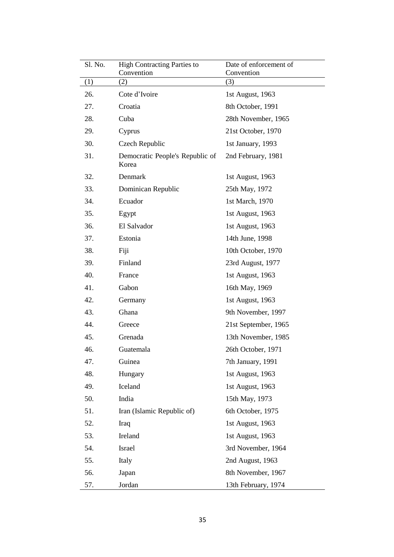| Sl. No. | <b>High Contracting Parties to</b>       | Date of enforcement of |
|---------|------------------------------------------|------------------------|
| (1)     | Convention<br>(2)                        | Convention<br>(3)      |
| 26.     | Cote d'Ivoire                            | 1st August, 1963       |
| 27.     | Croatia                                  | 8th October, 1991      |
| 28.     | Cuba                                     | 28th November, 1965    |
| 29.     | Cyprus                                   | 21st October, 1970     |
| 30.     | Czech Republic                           | 1st January, 1993      |
| 31.     | Democratic People's Republic of<br>Korea | 2nd February, 1981     |
| 32.     | Denmark                                  | 1st August, 1963       |
| 33.     | Dominican Republic                       | 25th May, 1972         |
| 34.     | Ecuador                                  | 1st March, 1970        |
| 35.     | Egypt                                    | 1st August, 1963       |
| 36.     | El Salvador                              | 1st August, 1963       |
| 37.     | Estonia                                  | 14th June, 1998        |
| 38.     | Fiji                                     | 10th October, 1970     |
| 39.     | Finland                                  | 23rd August, 1977      |
| 40.     | France                                   | 1st August, 1963       |
| 41.     | Gabon                                    | 16th May, 1969         |
| 42.     | Germany                                  | 1st August, 1963       |
| 43.     | Ghana                                    | 9th November, 1997     |
| 44.     | Greece                                   | 21st September, 1965   |
| 45.     | Grenada                                  | 13th November, 1985    |
| 46.     | Guatemala                                | 26th October, 1971     |
| 47.     | Guinea                                   | 7th January, 1991      |
| 48.     | Hungary                                  | 1st August, 1963       |
| 49.     | Iceland                                  | 1st August, 1963       |
| 50.     | India                                    | 15th May, 1973         |
| 51.     | Iran (Islamic Republic of)               | 6th October, 1975      |
| 52.     | Iraq                                     | 1st August, 1963       |
| 53.     | Ireland                                  | 1st August, 1963       |
| 54.     | <b>Israel</b>                            | 3rd November, 1964     |
| 55.     | Italy                                    | 2nd August, 1963       |
| 56.     | Japan                                    | 8th November, 1967     |
| 57.     | Jordan                                   | 13th February, 1974    |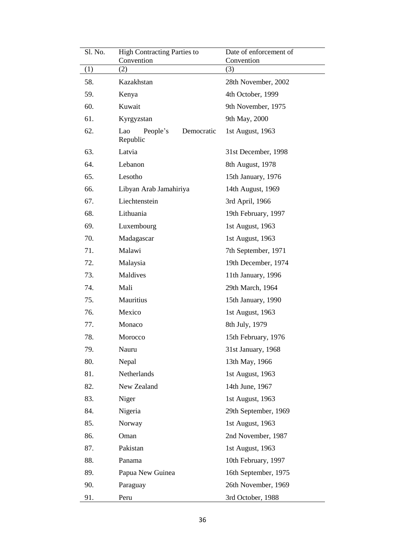| Sl. No. | <b>High Contracting Parties to</b><br>Convention | Date of enforcement of<br>Convention |
|---------|--------------------------------------------------|--------------------------------------|
| (1)     | (2)                                              | (3)                                  |
| 58.     | Kazakhstan                                       | 28th November, 2002                  |
| 59.     | Kenya                                            | 4th October, 1999                    |
| 60.     | Kuwait                                           | 9th November, 1975                   |
| 61.     | Kyrgyzstan                                       | 9th May, 2000                        |
| 62.     | Lao<br>People's<br>Democratic<br>Republic        | 1st August, 1963                     |
| 63.     | Latvia                                           | 31st December, 1998                  |
| 64.     | Lebanon                                          | 8th August, 1978                     |
| 65.     | Lesotho                                          | 15th January, 1976                   |
| 66.     | Libyan Arab Jamahiriya                           | 14th August, 1969                    |
| 67.     | Liechtenstein                                    | 3rd April, 1966                      |
| 68.     | Lithuania                                        | 19th February, 1997                  |
| 69.     | Luxembourg                                       | 1st August, 1963                     |
| 70.     | Madagascar                                       | 1st August, 1963                     |
| 71.     | Malawi                                           | 7th September, 1971                  |
| 72.     | Malaysia                                         | 19th December, 1974                  |
| 73.     | Maldives                                         | 11th January, 1996                   |
| 74.     | Mali                                             | 29th March, 1964                     |
| 75.     | Mauritius                                        | 15th January, 1990                   |
| 76.     | Mexico                                           | 1st August, 1963                     |
| 77.     | Monaco                                           | 8th July, 1979                       |
| 78.     | Morocco                                          | 15th February, 1976                  |
| 79.     | Nauru                                            | 31st January, 1968                   |
| 80.     | Nepal                                            | 13th May, 1966                       |
| 81.     | Netherlands                                      | 1st August, 1963                     |
| 82.     | New Zealand                                      | 14th June, 1967                      |
| 83.     | Niger                                            | 1st August, 1963                     |
| 84.     | Nigeria                                          | 29th September, 1969                 |
| 85.     | Norway                                           | 1st August, 1963                     |
| 86.     | Oman                                             | 2nd November, 1987                   |
| 87.     | Pakistan                                         | 1st August, 1963                     |
| 88.     | Panama                                           | 10th February, 1997                  |
| 89.     | Papua New Guinea                                 | 16th September, 1975                 |
| 90.     | Paraguay                                         | 26th November, 1969                  |
| 91.     | Peru                                             | 3rd October, 1988                    |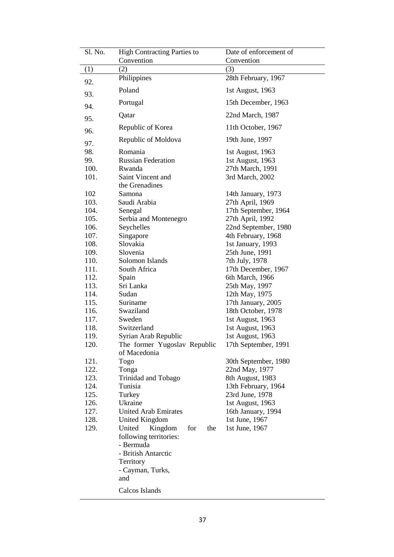| Sl. No.      | <b>High Contracting Parties to</b> | Date of enforcement of                   |
|--------------|------------------------------------|------------------------------------------|
|              | Convention                         | Convention                               |
| (1)          | (2)                                | (3)                                      |
| 92.          | Philippines                        | 28th February, 1967                      |
| 93.          | Poland                             | 1st August, 1963                         |
| 94.          | Portugal                           | 15th December, 1963                      |
| 95.          | Qatar                              | 22nd March, 1987                         |
| 96.          | Republic of Korea                  | 11th October, 1967                       |
| 97.          | Republic of Moldova                | 19th June, 1997                          |
| 98.          | Romania                            | 1st August, 1963                         |
| 99.          | <b>Russian Federation</b>          | 1st August, 1963                         |
| 100.         | Rwanda                             | 27th March, 1991                         |
| 101.         | Saint Vincent and                  | 3rd March, 2002                          |
|              | the Grenadines                     |                                          |
| 102          | Samona                             | 14th January, 1973                       |
| 103.         | Saudi Arabia                       | 27th April, 1969                         |
| 104.         | Senegal                            | 17th September, 1964                     |
| 105.         | Serbia and Montenegro              | 27th April, 1992                         |
| 106.         | Seychelles                         | 22nd September, 1980                     |
| 107.         | Singapore                          | 4th February, 1968                       |
| 108.         | Slovakia                           | 1st January, 1993                        |
| 109.         | Slovenia                           | 25th June, 1991                          |
| 110.         | Solomon Islands                    | 7th July, 1978                           |
| 111.         | South Africa                       | 17th December, 1967                      |
| 112.         | Spain                              | 6th March, 1966                          |
| 113.         | Sri Lanka                          | 25th May, 1997                           |
| 114.<br>115. | Sudan<br>Suriname                  | 12th May, 1975                           |
| 116.         | Swaziland                          | 17th January, 2005<br>18th October, 1978 |
| 117.         | Sweden                             | 1st August, 1963                         |
| 118.         | Switzerland                        | 1st August, 1963                         |
| 119.         | Syrian Arab Republic               | 1st August, 1963                         |
| 120.         | The former Yugoslav Republic       | 17th September, 1991                     |
|              | of Macedonia                       |                                          |
| 121.         | Togo                               | 30th September, 1980                     |
| 122.         | Tonga                              | 22nd May, 1977                           |
| 123.         | Trinidad and Tobago                | 8th August, 1983                         |
| 124.         | Tunisia                            | 13th February, 1964                      |
| 125.         | Turkey                             | 23rd June, 1978                          |
| 126.         | Ukraine                            | 1st August, 1963                         |
| 127.         | <b>United Arab Emirates</b>        | 16th January, 1994                       |
| 128.         | United Kingdom                     | 1st June, 1967                           |
| 129.         | United<br>Kingdom<br>for<br>the    | 1st June, 1967                           |
|              | following territories:             |                                          |
|              | - Bermuda                          |                                          |
|              | - British Antarctic                |                                          |
|              | Territory                          |                                          |
|              | - Cayman, Turks,<br>and            |                                          |
|              |                                    |                                          |
|              | Calcos Islands                     |                                          |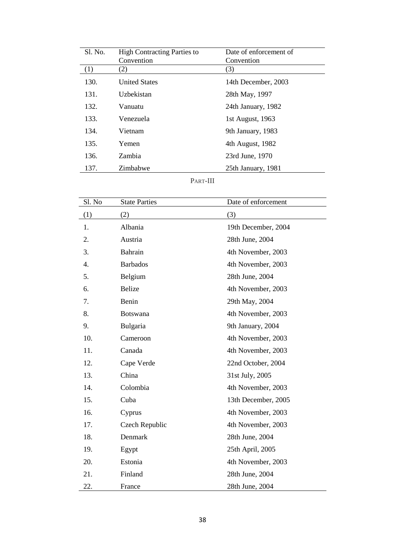| Sl. No. | <b>High Contracting Parties to</b> | Date of enforcement of |
|---------|------------------------------------|------------------------|
|         | Convention                         | Convention             |
| (1)     | (2)                                | (3)                    |
| 130.    | <b>United States</b>               | 14th December, 2003    |
| 131.    | Uzbekistan                         | 28th May, 1997         |
| 132.    | Vanuatu                            | 24th January, 1982     |
| 133.    | Venezuela                          | 1st August, 1963       |
| 134.    | Vietnam                            | 9th January, 1983      |
| 135.    | Yemen                              | 4th August, 1982       |
| 136.    | Zambia                             | 23rd June, 1970        |
| 137.    | Zimbabwe                           | 25th January, 1981     |

PART-III

| Sl. No | <b>State Parties</b> | Date of enforcement |
|--------|----------------------|---------------------|
| (1)    | (2)                  | (3)                 |
| 1.     | Albania              | 19th December, 2004 |
| 2.     | Austria              | 28th June, 2004     |
| 3.     | Bahrain              | 4th November, 2003  |
| 4.     | <b>Barbados</b>      | 4th November, 2003  |
| 5.     | Belgium              | 28th June, 2004     |
| 6.     | <b>Belize</b>        | 4th November, 2003  |
| 7.     | Benin                | 29th May, 2004      |
| 8.     | <b>Botswana</b>      | 4th November, 2003  |
| 9.     | <b>Bulgaria</b>      | 9th January, 2004   |
| 10.    | Cameroon             | 4th November, 2003  |
| 11.    | Canada               | 4th November, 2003  |
| 12.    | Cape Verde           | 22nd October, 2004  |
| 13.    | China                | 31st July, 2005     |
| 14.    | Colombia             | 4th November, 2003  |
| 15.    | Cuba                 | 13th December, 2005 |
| 16.    | Cyprus               | 4th November, 2003  |
| 17.    | Czech Republic       | 4th November, 2003  |
| 18.    | Denmark              | 28th June, 2004     |
| 19.    | Egypt                | 25th April, 2005    |
| 20.    | Estonia              | 4th November, 2003  |
| 21.    | Finland              | 28th June, 2004     |
| 22.    | France               | 28th June, 2004     |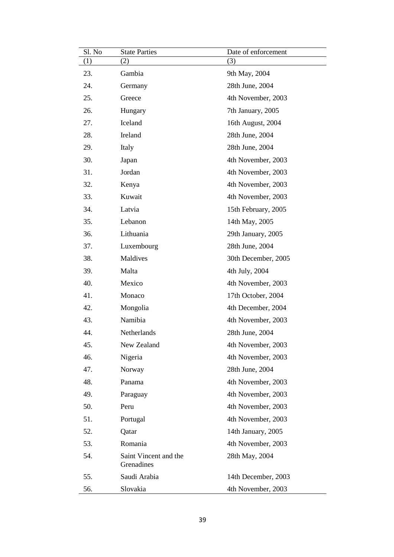| Sl. No | <b>State Parties</b>                | Date of enforcement |
|--------|-------------------------------------|---------------------|
| (1)    | (2)                                 | (3)                 |
| 23.    | Gambia                              | 9th May, 2004       |
| 24.    | Germany                             | 28th June, 2004     |
| 25.    | Greece                              | 4th November, 2003  |
| 26.    | Hungary                             | 7th January, 2005   |
| 27.    | Iceland                             | 16th August, 2004   |
| 28.    | Ireland                             | 28th June, 2004     |
| 29.    | Italy                               | 28th June, 2004     |
| 30.    | Japan                               | 4th November, 2003  |
| 31.    | Jordan                              | 4th November, 2003  |
| 32.    | Kenya                               | 4th November, 2003  |
| 33.    | Kuwait                              | 4th November, 2003  |
| 34.    | Latvia                              | 15th February, 2005 |
| 35.    | Lebanon                             | 14th May, 2005      |
| 36.    | Lithuania                           | 29th January, 2005  |
| 37.    | Luxembourg                          | 28th June, 2004     |
| 38.    | Maldives                            | 30th December, 2005 |
| 39.    | Malta                               | 4th July, 2004      |
| 40.    | Mexico                              | 4th November, 2003  |
| 41.    | Monaco                              | 17th October, 2004  |
| 42.    | Mongolia                            | 4th December, 2004  |
| 43.    | Namibia                             | 4th November, 2003  |
| 44.    | Netherlands                         | 28th June, 2004     |
| 45.    | New Zealand                         | 4th November, 2003  |
| 46.    | Nigeria                             | 4th November, 2003  |
| 47.    | Norway                              | 28th June, 2004     |
| 48.    | Panama                              | 4th November, 2003  |
| 49.    | Paraguay                            | 4th November, 2003  |
| 50.    | Peru                                | 4th November, 2003  |
| 51.    | Portugal                            | 4th November, 2003  |
| 52.    | Qatar                               | 14th January, 2005  |
| 53.    | Romania                             | 4th November, 2003  |
| 54.    | Saint Vincent and the<br>Grenadines | 28th May, 2004      |
| 55.    | Saudi Arabia                        | 14th December, 2003 |
| 56.    | Slovakia                            | 4th November, 2003  |